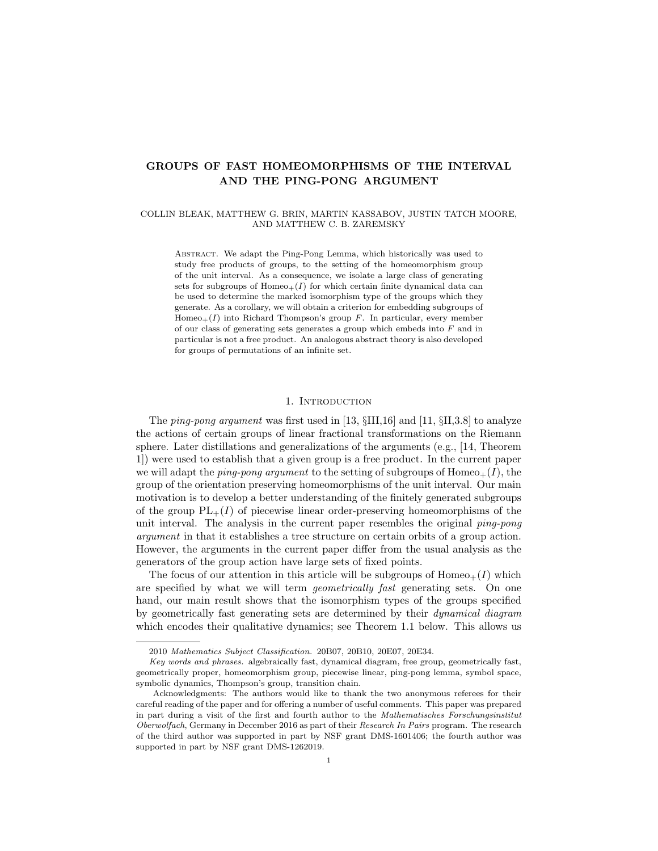# GROUPS OF FAST HOMEOMORPHISMS OF THE INTERVAL AND THE PING-PONG ARGUMENT

## COLLIN BLEAK, MATTHEW G. BRIN, MARTIN KASSABOV, JUSTIN TATCH MOORE, AND MATTHEW C. B. ZAREMSKY

Abstract. We adapt the Ping-Pong Lemma, which historically was used to study free products of groups, to the setting of the homeomorphism group of the unit interval. As a consequence, we isolate a large class of generating sets for subgroups of  $Homeo_+(I)$  for which certain finite dynamical data can be used to determine the marked isomorphism type of the groups which they generate. As a corollary, we will obtain a criterion for embedding subgroups of Homeo $+(I)$  into Richard Thompson's group F. In particular, every member of our class of generating sets generates a group which embeds into F and in particular is not a free product. An analogous abstract theory is also developed for groups of permutations of an infinite set.

### 1. Introduction

The ping-pong argument was first used in [13,  $\SIII,16$ ] and [11,  $\SII,3.8$ ] to analyze the actions of certain groups of linear fractional transformations on the Riemann sphere. Later distillations and generalizations of the arguments (e.g., [14, Theorem 1]) were used to establish that a given group is a free product. In the current paper we will adapt the *ping-pong argument* to the setting of subgroups of  $Homeo_+(I)$ , the group of the orientation preserving homeomorphisms of the unit interval. Our main motivation is to develop a better understanding of the finitely generated subgroups of the group  $PL_+(I)$  of piecewise linear order-preserving homeomorphisms of the unit interval. The analysis in the current paper resembles the original ping-pong argument in that it establishes a tree structure on certain orbits of a group action. However, the arguments in the current paper differ from the usual analysis as the generators of the group action have large sets of fixed points.

The focus of our attention in this article will be subgroups of  $Homeo_+(I)$  which are specified by what we will term geometrically fast generating sets. On one hand, our main result shows that the isomorphism types of the groups specified by geometrically fast generating sets are determined by their dynamical diagram which encodes their qualitative dynamics; see Theorem 1.1 below. This allows us

<sup>2010</sup> Mathematics Subject Classification. 20B07, 20B10, 20E07, 20E34.

Key words and phrases. algebraically fast, dynamical diagram, free group, geometrically fast, geometrically proper, homeomorphism group, piecewise linear, ping-pong lemma, symbol space, symbolic dynamics, Thompson's group, transition chain.

Acknowledgments: The authors would like to thank the two anonymous referees for their careful reading of the paper and for offering a number of useful comments. This paper was prepared in part during a visit of the first and fourth author to the Mathematisches Forschungsinstitut Oberwolfach, Germany in December 2016 as part of their Research In Pairs program. The research of the third author was supported in part by NSF grant DMS-1601406; the fourth author was supported in part by NSF grant DMS-1262019.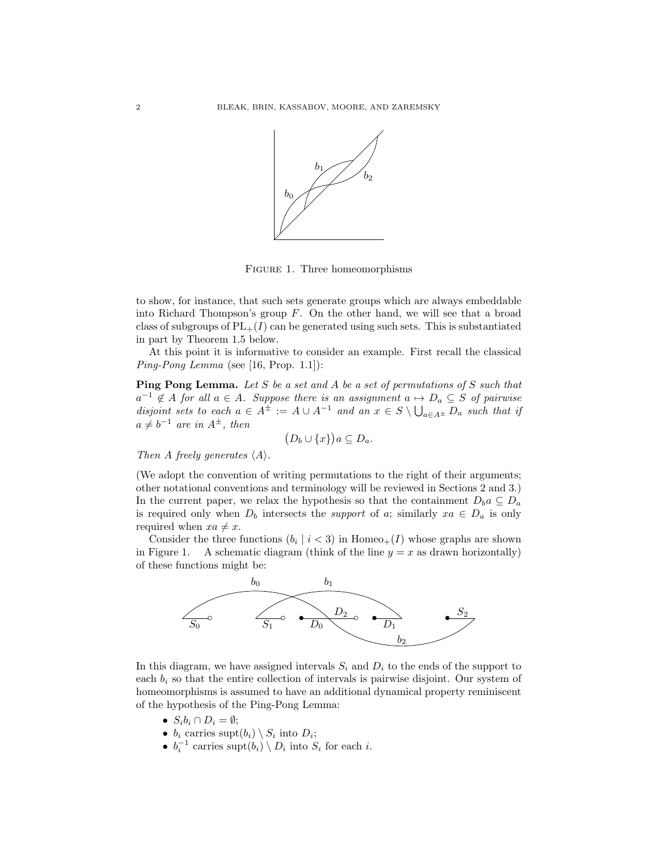

Figure 1. Three homeomorphisms

to show, for instance, that such sets generate groups which are always embeddable into Richard Thompson's group  $F$ . On the other hand, we will see that a broad class of subgroups of  $PL_{+}(I)$  can be generated using such sets. This is substantiated in part by Theorem 1.5 below.

At this point it is informative to consider an example. First recall the classical Ping-Pong Lemma (see [16, Prop. 1.1]):

Ping Pong Lemma. Let S be a set and A be a set of permutations of S such that  $a^{-1} \notin A$  for all  $a \in A$ . Suppose there is an assignment  $a \mapsto D_a \subseteq S$  of pairwise disjoint sets to each  $a \in A^{\pm} := A \cup A^{-1}$  and an  $x \in S \setminus \bigcup_{a \in A^{\pm}} D_a$  such that if  $a \neq b^{-1}$  are in  $A^{\pm}$ , then

$$
(D_b \cup \{x\})a \subseteq D_a.
$$

Then A freely generates  $\langle A \rangle$ .

(We adopt the convention of writing permutations to the right of their arguments; other notational conventions and terminology will be reviewed in Sections 2 and 3.) In the current paper, we relax the hypothesis so that the containment  $D_b a \subseteq D_a$ is required only when  $D_b$  intersects the *support* of a; similarly  $xa \in D_a$  is only required when  $xa \neq x$ .

Consider the three functions  $(b_i \mid i < 3)$  in Homeo<sub>+</sub>(I) whose graphs are shown in Figure 1. A schematic diagram (think of the line  $y = x$  as drawn horizontally) of these functions might be:



In this diagram, we have assigned intervals  $S_i$  and  $D_i$  to the ends of the support to each  $b_i$  so that the entire collection of intervals is pairwise disjoint. Our system of homeomorphisms is assumed to have an additional dynamical property reminiscent of the hypothesis of the Ping-Pong Lemma:

- $S_i b_i \cap D_i = \emptyset;$
- $b_i$  carries supt $(b_i) \setminus S_i$  into  $D_i$ ;
- $b_i^{-1}$  carries supt $(b_i) \setminus D_i$  into  $S_i$  for each *i*.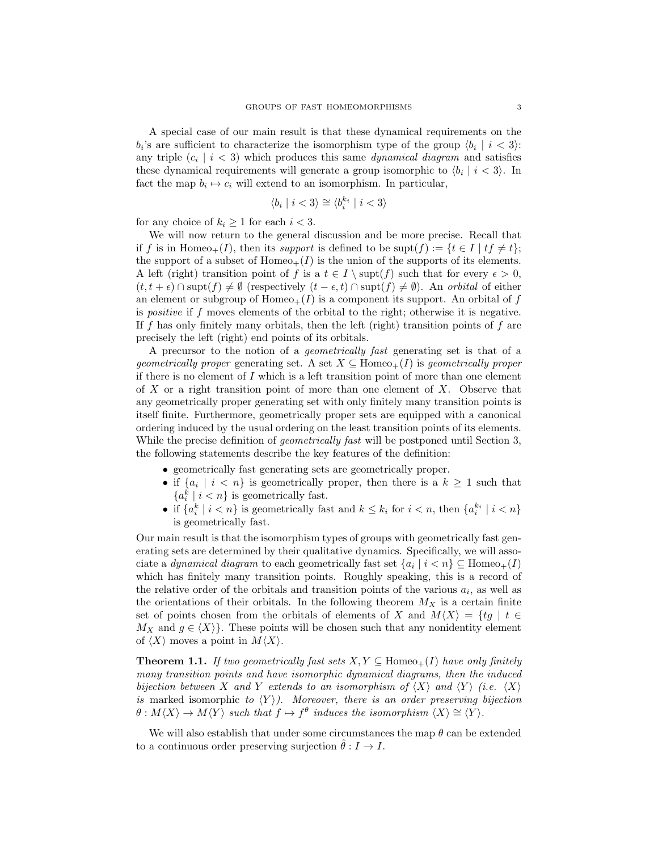A special case of our main result is that these dynamical requirements on the  $b_i$ 's are sufficient to characterize the isomorphism type of the group  $\langle b_i | i < 3 \rangle$ : any triple  $(c_i \mid i < 3)$  which produces this same *dynamical diagram* and satisfies these dynamical requirements will generate a group isomorphic to  $\langle b_i | i < 3 \rangle$ . In fact the map  $b_i \mapsto c_i$  will extend to an isomorphism. In particular,

$$
\langle b_i \mid i < 3 \rangle \cong \langle b_i^{k_i} \mid i < 3 \rangle
$$

for any choice of  $k_i \geq 1$  for each  $i < 3$ .

We will now return to the general discussion and be more precise. Recall that if f is in Homeo<sub>+</sub>(I), then its support is defined to be supt(f) := { $t \in I | tf \neq t$ }; the support of a subset of  $Homeo_+(I)$  is the union of the supports of its elements. A left (right) transition point of f is a  $t \in I \setminus \text{supt}(f)$  such that for every  $\epsilon > 0$ ,  $(t, t + \epsilon) \cap \text{supt}(f) \neq \emptyset$  (respectively  $(t - \epsilon, t) \cap \text{supt}(f) \neq \emptyset$ ). An orbital of either an element or subgroup of  $Homeo_+(I)$  is a component its support. An orbital of f is *positive* if  $f$  moves elements of the orbital to the right; otherwise it is negative. If f has only finitely many orbitals, then the left (right) transition points of f are precisely the left (right) end points of its orbitals.

A precursor to the notion of a geometrically fast generating set is that of a geometrically proper generating set. A set  $X \subseteq \text{Homeo}_+(I)$  is geometrically proper if there is no element of  $I$  which is a left transition point of more than one element of  $X$  or a right transition point of more than one element of  $X$ . Observe that any geometrically proper generating set with only finitely many transition points is itself finite. Furthermore, geometrically proper sets are equipped with a canonical ordering induced by the usual ordering on the least transition points of its elements. While the precise definition of *geometrically fast* will be postponed until Section 3, the following statements describe the key features of the definition:

- geometrically fast generating sets are geometrically proper.
- if  $\{a_i \mid i < n\}$  is geometrically proper, then there is a  $k \geq 1$  such that  ${a_i^k \mid i < n}$  is geometrically fast.
- if  $\{a_i^k \mid i < n\}$  is geometrically fast and  $k \leq k_i$  for  $i < n$ , then  $\{a_i^{k_i} \mid i < n\}$ is geometrically fast.

Our main result is that the isomorphism types of groups with geometrically fast generating sets are determined by their qualitative dynamics. Specifically, we will associate a *dynamical diagram* to each geometrically fast set  $\{a_i \mid i < n\} \subseteq \text{Homeo}_+(I)$ which has finitely many transition points. Roughly speaking, this is a record of the relative order of the orbitals and transition points of the various  $a_i$ , as well as the orientations of their orbitals. In the following theorem  $M_X$  is a certain finite set of points chosen from the orbitals of elements of X and  $M\langle X\rangle = \{tg \mid t \in$  $M_X$  and  $g \in \langle X \rangle$ . These points will be chosen such that any nonidentity element of  $\langle X \rangle$  moves a point in  $M\langle X \rangle$ .

**Theorem 1.1.** If two geometrically fast sets  $X, Y \subseteq \text{Homeo}_+(I)$  have only finitely many transition points and have isomorphic dynamical diagrams, then the induced bijection between X and Y extends to an isomorphism of  $\langle X \rangle$  and  $\langle Y \rangle$  (i.e.  $\langle X \rangle$ ) is marked isomorphic to  $\langle Y \rangle$ ). Moreover, there is an order preserving bijection  $\theta: M\langle X\rangle \to M\langle Y\rangle$  such that  $f \mapsto f^{\theta}$  induces the isomorphism  $\langle X\rangle \cong \langle Y\rangle$ .

We will also establish that under some circumstances the map  $\theta$  can be extended to a continuous order preserving surjection  $\hat{\theta}: I \to I$ .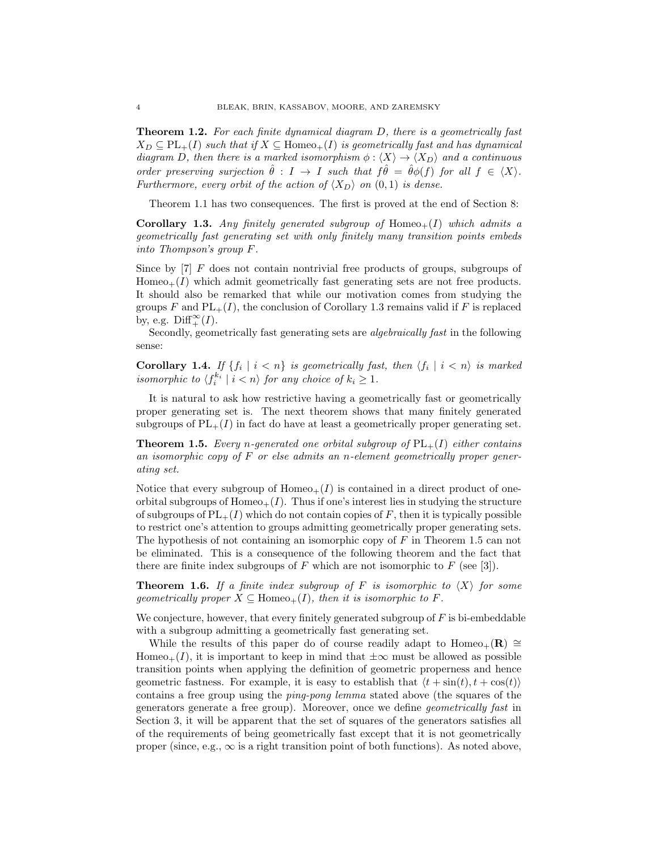Theorem 1.2. For each finite dynamical diagram D, there is a geometrically fast  $X_D \subseteq PL_+(I)$  such that if  $X \subseteq \text{Homeo}_+(I)$  is geometrically fast and has dynamical diagram D, then there is a marked isomorphism  $\phi : \langle X \rangle \to \langle X_D \rangle$  and a continuous order preserving surjection  $\hat{\theta} : I \to I$  such that  $f\hat{\theta} = \hat{\theta}\phi(f)$  for all  $f \in \langle X \rangle$ . Furthermore, every orbit of the action of  $\langle X_D \rangle$  on  $(0, 1)$  is dense.

Theorem 1.1 has two consequences. The first is proved at the end of Section 8:

**Corollary 1.3.** Any finitely generated subgroup of  $Homeo+(I)$  which admits a geometrically fast generating set with only finitely many transition points embeds into Thompson's group F.

Since by [7] F does not contain nontrivial free products of groups, subgroups of  $Homeo_+(I)$  which admit geometrically fast generating sets are not free products. It should also be remarked that while our motivation comes from studying the groups F and  $PL_+(I)$ , the conclusion of Corollary 1.3 remains valid if F is replaced by, e.g.  $\text{Diff}^{\infty}_+(I)$ .

Secondly, geometrically fast generating sets are algebraically fast in the following sense:

**Corollary 1.4.** If  $\{f_i \mid i < n\}$  is geometrically fast, then  $\langle f_i \mid i < n \rangle$  is marked isomorphic to  $\langle f_i^{k_i} \mid i \langle n \rangle$  for any choice of  $k_i \geq 1$ .

It is natural to ask how restrictive having a geometrically fast or geometrically proper generating set is. The next theorem shows that many finitely generated subgroups of  $PL_{+}(I)$  in fact do have at least a geometrically proper generating set.

**Theorem 1.5.** Every n-generated one orbital subgroup of  $PL_+(I)$  either contains an isomorphic copy of  $F$  or else admits an n-element geometrically proper generating set.

Notice that every subgroup of  $Homeo_+(I)$  is contained in a direct product of oneorbital subgroups of  $Home_+(I)$ . Thus if one's interest lies in studying the structure of subgroups of  $PL_+(I)$  which do not contain copies of F, then it is typically possible to restrict one's attention to groups admitting geometrically proper generating sets. The hypothesis of not containing an isomorphic copy of  $F$  in Theorem 1.5 can not be eliminated. This is a consequence of the following theorem and the fact that there are finite index subgroups of  $F$  which are not isomorphic to  $F$  (see [3]).

**Theorem 1.6.** If a finite index subgroup of F is isomorphic to  $\langle X \rangle$  for some geometrically proper  $X \subseteq \text{Homeo}_+(I)$ , then it is isomorphic to F.

We conjecture, however, that every finitely generated subgroup of  $F$  is bi-embeddable with a subgroup admitting a geometrically fast generating set.

While the results of this paper do of course readily adapt to Homeo<sub>+</sub>(R)  $\cong$ Homeo<sub>+</sub>(I), it is important to keep in mind that  $\pm\infty$  must be allowed as possible transition points when applying the definition of geometric properness and hence geometric fastness. For example, it is easy to establish that  $\langle t + \sin(t), t + \cos(t) \rangle$ contains a free group using the ping-pong lemma stated above (the squares of the generators generate a free group). Moreover, once we define geometrically fast in Section 3, it will be apparent that the set of squares of the generators satisfies all of the requirements of being geometrically fast except that it is not geometrically proper (since, e.g.,  $\infty$  is a right transition point of both functions). As noted above,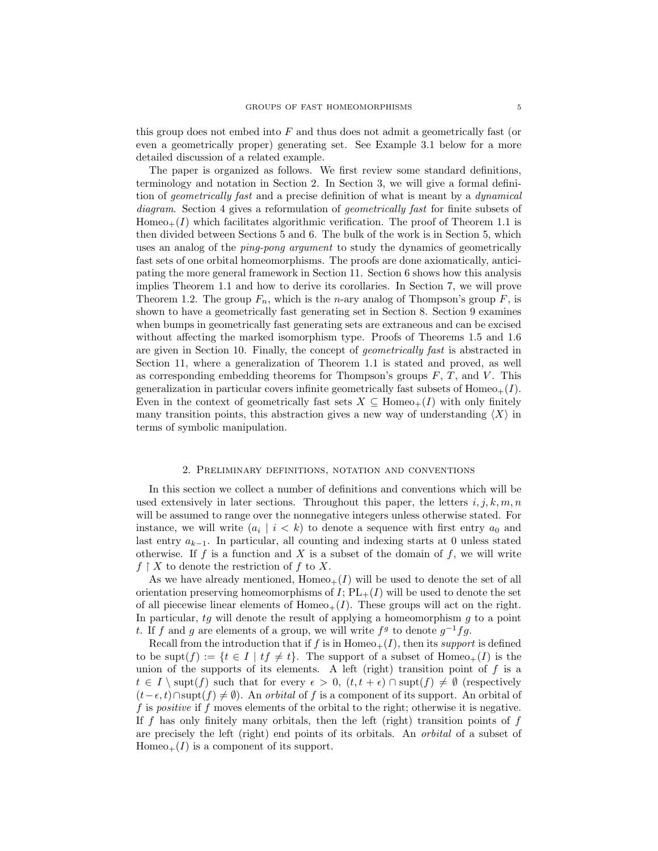this group does not embed into F and thus does not admit a geometrically fast (or even a geometrically proper) generating set. See Example 3.1 below for a more detailed discussion of a related example.

The paper is organized as follows. We first review some standard definitions, terminology and notation in Section 2. In Section 3, we will give a formal definition of geometrically fast and a precise definition of what is meant by a dynamical diagram. Section 4 gives a reformulation of geometrically fast for finite subsets of  $Homeo_+(I)$  which facilitates algorithmic verification. The proof of Theorem 1.1 is then divided between Sections 5 and 6. The bulk of the work is in Section 5, which uses an analog of the ping-pong argument to study the dynamics of geometrically fast sets of one orbital homeomorphisms. The proofs are done axiomatically, anticipating the more general framework in Section 11. Section 6 shows how this analysis implies Theorem 1.1 and how to derive its corollaries. In Section 7, we will prove Theorem 1.2. The group  $F_n$ , which is the *n*-ary analog of Thompson's group  $F$ , is shown to have a geometrically fast generating set in Section 8. Section 9 examines when bumps in geometrically fast generating sets are extraneous and can be excised without affecting the marked isomorphism type. Proofs of Theorems 1.5 and 1.6 are given in Section 10. Finally, the concept of geometrically fast is abstracted in Section 11, where a generalization of Theorem 1.1 is stated and proved, as well as corresponding embedding theorems for Thompson's groups  $F, T$ , and  $V$ . This generalization in particular covers infinite geometrically fast subsets of  $Homeo_+(I)$ . Even in the context of geometrically fast sets  $X \subseteq \text{Homeo}_+(I)$  with only finitely many transition points, this abstraction gives a new way of understanding  $\langle X \rangle$  in terms of symbolic manipulation.

#### 2. Preliminary definitions, notation and conventions

In this section we collect a number of definitions and conventions which will be used extensively in later sections. Throughout this paper, the letters  $i, j, k, m, n$ will be assumed to range over the nonnegative integers unless otherwise stated. For instance, we will write  $(a_i \mid i \leq k)$  to denote a sequence with first entry  $a_0$  and last entry  $a_{k-1}$ . In particular, all counting and indexing starts at 0 unless stated otherwise. If f is a function and X is a subset of the domain of f, we will write  $f \restriction X$  to denote the restriction of f to X.

As we have already mentioned,  $Homeo_+(I)$  will be used to denote the set of all orientation preserving homeomorphisms of  $I$ ;  $PL_{+}(I)$  will be used to denote the set of all piecewise linear elements of  $Homeo_+(I)$ . These groups will act on the right. In particular,  $tg$  will denote the result of applying a homeomorphism  $g$  to a point t. If f and g are elements of a group, we will write  $f<sup>g</sup>$  to denote  $g<sup>-1</sup>fg$ .

Recall from the introduction that if f is in  $Homeo_+(I)$ , then its support is defined to be supt $(f) := \{t \in I \mid tf \neq t\}$ . The support of a subset of Homeo<sub>+</sub> $(I)$  is the union of the supports of its elements. A left (right) transition point of  $f$  is a  $t \in I \setminus \text{supt}(f)$  such that for every  $\epsilon > 0$ ,  $(t, t + \epsilon) \cap \text{supt}(f) \neq \emptyset$  (respectively  $(t-\epsilon, t) \cap \text{supp}(f) \neq \emptyset$ . An *orbital* of f is a component of its support. An orbital of f is *positive* if f moves elements of the orbital to the right; otherwise it is negative. If  $f$  has only finitely many orbitals, then the left (right) transition points of  $f$ are precisely the left (right) end points of its orbitals. An orbital of a subset of  $Homeo_+(I)$  is a component of its support.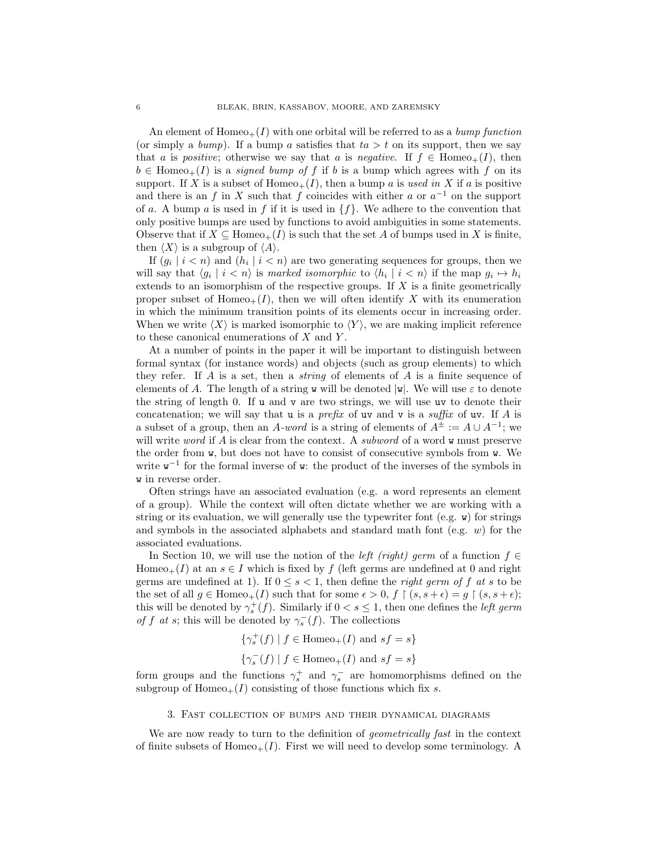An element of  $Homeo_+(I)$  with one orbital will be referred to as a bump function (or simply a bump). If a bump a satisfies that  $ta > t$  on its support, then we say that a is positive; otherwise we say that a is negative. If  $f \in \text{Homeo}_+(I)$ , then  $b \in \text{Homeo}_+(I)$  is a *signed bump of f* if b is a bump which agrees with f on its support. If X is a subset of  $Homeo_+(I)$ , then a bump a is used in X if a is positive and there is an f in X such that f coincides with either a or  $a^{-1}$  on the support of a. A bump a is used in f if it is used in  $\{f\}$ . We adhere to the convention that only positive bumps are used by functions to avoid ambiguities in some statements. Observe that if  $X \subseteq \text{Homeo}_+(I)$  is such that the set A of bumps used in X is finite, then  $\langle X \rangle$  is a subgroup of  $\langle A \rangle$ .

If  $(g_i \mid i \leq n)$  and  $(h_i \mid i \leq n)$  are two generating sequences for groups, then we will say that  $\langle g_i | i \rangle \langle n \rangle$  is marked isomorphic to  $\langle h_i | i \rangle \langle n \rangle$  if the map  $g_i \mapsto h_i$ extends to an isomorphism of the respective groups. If X is a finite geometrically proper subset of Homeo<sub>+</sub> $(I)$ , then we will often identify X with its enumeration in which the minimum transition points of its elements occur in increasing order. When we write  $\langle X \rangle$  is marked isomorphic to  $\langle Y \rangle$ , we are making implicit reference to these canonical enumerations of  $X$  and  $Y$ .

At a number of points in the paper it will be important to distinguish between formal syntax (for instance words) and objects (such as group elements) to which they refer. If A is a set, then a *string* of elements of A is a finite sequence of elements of A. The length of a string w will be denoted  $|\mathbf{w}|$ . We will use  $\varepsilon$  to denote the string of length 0. If u and v are two strings, we will use uv to denote their concatenation; we will say that  $u$  is a *prefix* of  $uv$  and  $v$  is a *suffix* of  $uv$ . If A is a subset of a group, then an A-word is a string of elements of  $A^{\pm} := A \cup A^{-1}$ ; we will write *word* if A is clear from the context. A *subword* of a word  $\bf{w}$  must preserve the order from  $\bf{w}$ , but does not have to consist of consecutive symbols from  $\bf{w}$ . We write  $w^{-1}$  for the formal inverse of w: the product of the inverses of the symbols in w in reverse order.

Often strings have an associated evaluation (e.g. a word represents an element of a group). While the context will often dictate whether we are working with a string or its evaluation, we will generally use the typewriter font (e.g.  $\bf{w}$ ) for strings and symbols in the associated alphabets and standard math font (e.g.  $w$ ) for the associated evaluations.

In Section 10, we will use the notion of the *left (right) germ* of a function  $f \in$ Homeo<sub>+</sub>(I) at an  $s \in I$  which is fixed by f (left germs are undefined at 0 and right germs are undefined at 1). If  $0 \leq s < 1$ , then define the *right germ of f at s* to be the set of all  $g \in \text{Homeo}_+(I)$  such that for some  $\epsilon > 0$ ,  $f \restriction (s, s + \epsilon) = g \restriction (s, s + \epsilon);$ this will be denoted by  $\gamma_s^+(f)$ . Similarly if  $0 < s \leq 1$ , then one defines the *left germ* of f at s; this will be denoted by  $\gamma_s^-(f)$ . The collections

> $\{\gamma_s^+(f) \mid f \in \text{Homeo}_+(I) \text{ and } sf = s\}$  $\{\gamma_s^-(f) \mid f \in \text{Homeo}_+(I) \text{ and } sf = s\}$

form groups and the functions  $\gamma_s^+$  and  $\gamma_s^-$  are homomorphisms defined on the subgroup of  $Homeo_+(I)$  consisting of those functions which fix s.

## 3. Fast collection of bumps and their dynamical diagrams

We are now ready to turn to the definition of *geometrically fast* in the context of finite subsets of Homeo<sub>+</sub> $(I)$ . First we will need to develop some terminology. A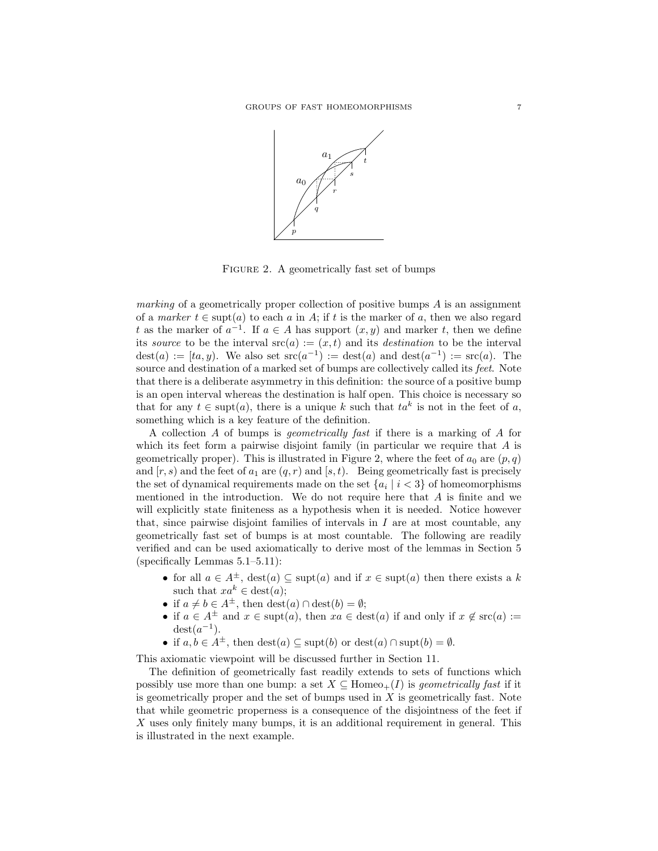

FIGURE 2. A geometrically fast set of bumps

marking of a geometrically proper collection of positive bumps  $A$  is an assignment of a marker  $t \in \text{supt}(a)$  to each a in A; if t is the marker of a, then we also regard t as the marker of  $a^{-1}$ . If  $a \in A$  has support  $(x, y)$  and marker t, then we define its source to be the interval  $src(a) := (x, t)$  and its *destination* to be the interval dest(a) :=  $[ta, y]$ . We also set  $\operatorname{src}(a^{-1})$  :=  $\operatorname{dest}(a)$  and  $\operatorname{dest}(a^{-1})$  :=  $\operatorname{src}(a)$ . The source and destination of a marked set of bumps are collectively called its feet. Note that there is a deliberate asymmetry in this definition: the source of a positive bump is an open interval whereas the destination is half open. This choice is necessary so that for any  $t \in \text{supt}(a)$ , there is a unique k such that  $ta^k$  is not in the feet of a, something which is a key feature of the definition.

A collection A of bumps is geometrically fast if there is a marking of A for which its feet form a pairwise disjoint family (in particular we require that  $A$  is geometrically proper). This is illustrated in Figure 2, where the feet of  $a_0$  are  $(p, q)$ and  $[r, s]$  and the feet of  $a_1$  are  $(q, r)$  and  $[s, t]$ . Being geometrically fast is precisely the set of dynamical requirements made on the set  $\{a_i \mid i < 3\}$  of homeomorphisms mentioned in the introduction. We do not require here that  $A$  is finite and we will explicitly state finiteness as a hypothesis when it is needed. Notice however that, since pairwise disjoint families of intervals in  $I$  are at most countable, any geometrically fast set of bumps is at most countable. The following are readily verified and can be used axiomatically to derive most of the lemmas in Section 5 (specifically Lemmas 5.1–5.11):

- for all  $a \in A^{\pm}$ ,  $\text{dest}(a) \subseteq \text{supt}(a)$  and if  $x \in \text{supt}(a)$  then there exists a k such that  $xa^k \in \text{dest}(a)$ ;
- if  $a \neq b \in A^{\pm}$ , then  $\text{dest}(a) \cap \text{dest}(b) = \emptyset$ ;
- if  $a \in A^{\pm}$  and  $x \in \text{supt}(a)$ , then  $xa \in \text{dest}(a)$  if and only if  $x \notin \text{src}(a) :=$  $\det(a^{-1})$ .
- if  $a, b \in A^{\pm}$ , then  $\text{dest}(a) \subseteq \text{supt}(b)$  or  $\text{dest}(a) \cap \text{supt}(b) = \emptyset$ .

This axiomatic viewpoint will be discussed further in Section 11.

The definition of geometrically fast readily extends to sets of functions which possibly use more than one bump: a set  $X \subseteq \text{Homeo}_+(I)$  is geometrically fast if it is geometrically proper and the set of bumps used in  $X$  is geometrically fast. Note that while geometric properness is a consequence of the disjointness of the feet if X uses only finitely many bumps, it is an additional requirement in general. This is illustrated in the next example.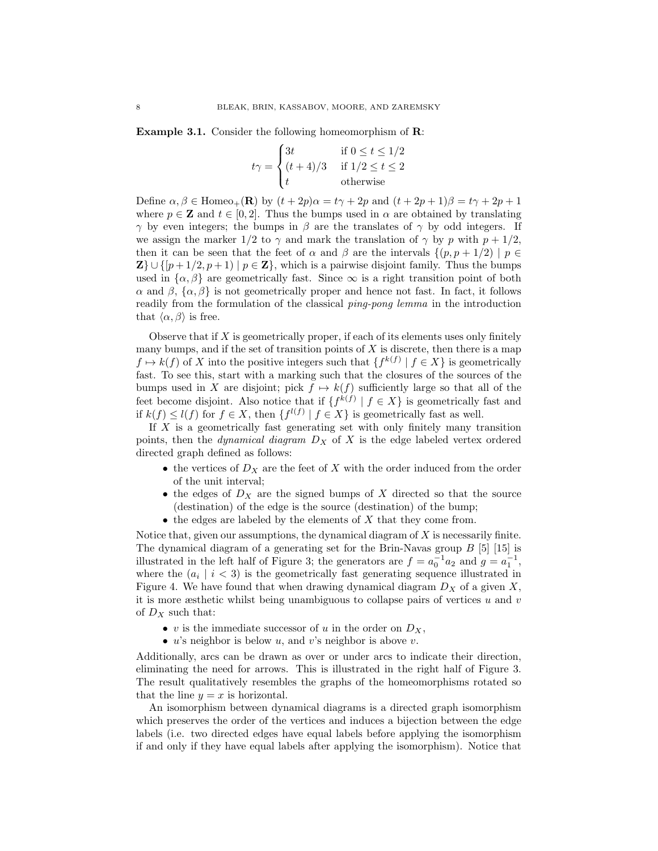Example 3.1. Consider the following homeomorphism of R:

$$
t\gamma = \begin{cases} 3t & \text{if } 0 \le t \le 1/2 \\ (t+4)/3 & \text{if } 1/2 \le t \le 2 \\ t & \text{otherwise} \end{cases}
$$

Define  $\alpha, \beta \in \text{Homeo}_+(\mathbf{R})$  by  $(t+2p)\alpha = t\gamma + 2p$  and  $(t+2p+1)\beta = t\gamma + 2p + 1$ where  $p \in \mathbf{Z}$  and  $t \in [0, 2]$ . Thus the bumps used in  $\alpha$  are obtained by translating  $γ$  by even integers; the bumps in β are the translates of γ by odd integers. If we assign the marker  $1/2$  to  $\gamma$  and mark the translation of  $\gamma$  by p with  $p + 1/2$ , then it can be seen that the feet of  $\alpha$  and  $\beta$  are the intervals  $\{(p, p + 1/2) \mid p \in$  $\mathbf{Z} \} \cup \{ [p+1/2, p+1) \mid p \in \mathbf{Z} \}$ , which is a pairwise disjoint family. Thus the bumps used in  $\{\alpha, \beta\}$  are geometrically fast. Since  $\infty$  is a right transition point of both α and β, {α, β} is not geometrically proper and hence not fast. In fact, it follows readily from the formulation of the classical ping-pong lemma in the introduction that  $\langle \alpha, \beta \rangle$  is free.

Observe that if  $X$  is geometrically proper, if each of its elements uses only finitely many bumps, and if the set of transition points of  $X$  is discrete, then there is a map  $f \mapsto k(f)$  of X into the positive integers such that  $\{f^{k(f)} \mid f \in X\}$  is geometrically fast. To see this, start with a marking such that the closures of the sources of the bumps used in X are disjoint; pick  $f \mapsto k(f)$  sufficiently large so that all of the feet become disjoint. Also notice that if  $\{f^{k(f)} | f \in X\}$  is geometrically fast and if  $k(f) \leq l(f)$  for  $f \in X$ , then  $\{f^{l(f)} \mid f \in X\}$  is geometrically fast as well.

If  $X$  is a geometrically fast generating set with only finitely many transition points, then the *dynamical diagram*  $D_X$  of X is the edge labeled vertex ordered directed graph defined as follows:

- the vertices of  $D_X$  are the feet of X with the order induced from the order of the unit interval;
- the edges of  $D_X$  are the signed bumps of X directed so that the source (destination) of the edge is the source (destination) of the bump;
- $\bullet$  the edges are labeled by the elements of  $X$  that they come from.

Notice that, given our assumptions, the dynamical diagram of  $X$  is necessarily finite. The dynamical diagram of a generating set for the Brin-Navas group B [5] [15] is illustrated in the left half of Figure 3; the generators are  $f = a_0^{-1} a_2$  and  $g = a_1^{-1}$ , where the  $(a_i \mid i < 3)$  is the geometrically fast generating sequence illustrated in Figure 4. We have found that when drawing dynamical diagram  $D<sub>X</sub>$  of a given X, it is more æsthetic whilst being unambiguous to collapse pairs of vertices  $u$  and  $v$ of  $D_X$  such that:

- v is the immediate successor of u in the order on  $D_X$ ,
- $u$ 's neighbor is below  $u$ , and  $v$ 's neighbor is above  $v$ .

Additionally, arcs can be drawn as over or under arcs to indicate their direction, eliminating the need for arrows. This is illustrated in the right half of Figure 3. The result qualitatively resembles the graphs of the homeomorphisms rotated so that the line  $y = x$  is horizontal.

An isomorphism between dynamical diagrams is a directed graph isomorphism which preserves the order of the vertices and induces a bijection between the edge labels (i.e. two directed edges have equal labels before applying the isomorphism if and only if they have equal labels after applying the isomorphism). Notice that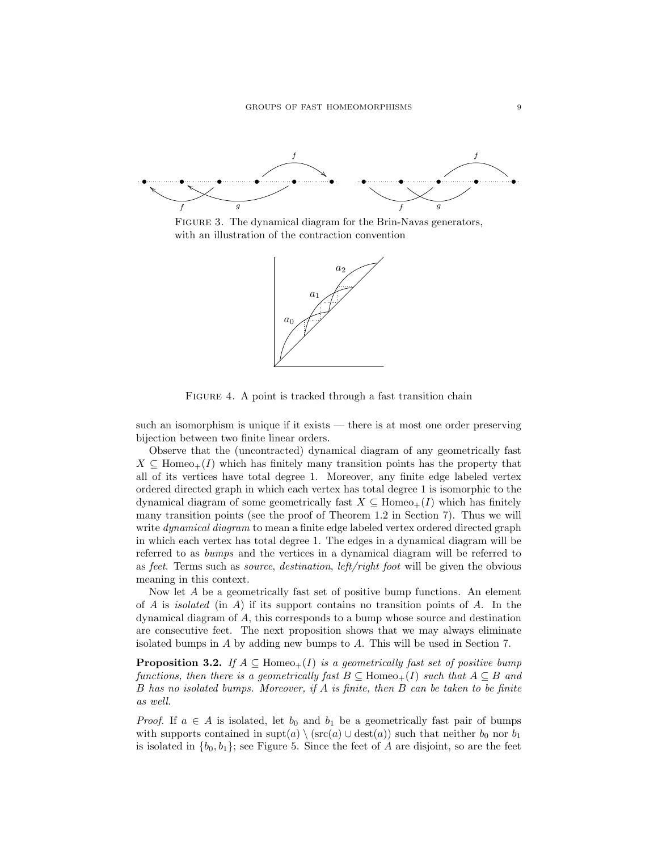

FIGURE 3. The dynamical diagram for the Brin-Navas generators, with an illustration of the contraction convention



FIGURE 4. A point is tracked through a fast transition chain

such an isomorphism is unique if it exists — there is at most one order preserving bijection between two finite linear orders.

Observe that the (uncontracted) dynamical diagram of any geometrically fast  $X \subseteq \text{Homeo}_+(I)$  which has finitely many transition points has the property that all of its vertices have total degree 1. Moreover, any finite edge labeled vertex ordered directed graph in which each vertex has total degree 1 is isomorphic to the dynamical diagram of some geometrically fast  $X \subseteq$  Homeo<sub>+</sub>(I) which has finitely many transition points (see the proof of Theorem 1.2 in Section 7). Thus we will write *dynamical diagram* to mean a finite edge labeled vertex ordered directed graph in which each vertex has total degree 1. The edges in a dynamical diagram will be referred to as bumps and the vertices in a dynamical diagram will be referred to as feet. Terms such as source, destination, left/right foot will be given the obvious meaning in this context.

Now let A be a geometrically fast set of positive bump functions. An element of A is *isolated* (in A) if its support contains no transition points of A. In the dynamical diagram of A, this corresponds to a bump whose source and destination are consecutive feet. The next proposition shows that we may always eliminate isolated bumps in A by adding new bumps to A. This will be used in Section 7.

**Proposition 3.2.** If  $A \subseteq \text{Homeo}_+(I)$  is a geometrically fast set of positive bump functions, then there is a geometrically fast  $B \subseteq$  Homeo<sub>+</sub>(I) such that  $A \subseteq B$  and B has no isolated bumps. Moreover, if A is finite, then B can be taken to be finite as well.

*Proof.* If  $a \in A$  is isolated, let  $b_0$  and  $b_1$  be a geometrically fast pair of bumps with supports contained in  $\text{supt}(a) \setminus (\text{src}(a) \cup \text{dest}(a))$  such that neither  $b_0$  nor  $b_1$ is isolated in  $\{b_0, b_1\}$ ; see Figure 5. Since the feet of A are disjoint, so are the feet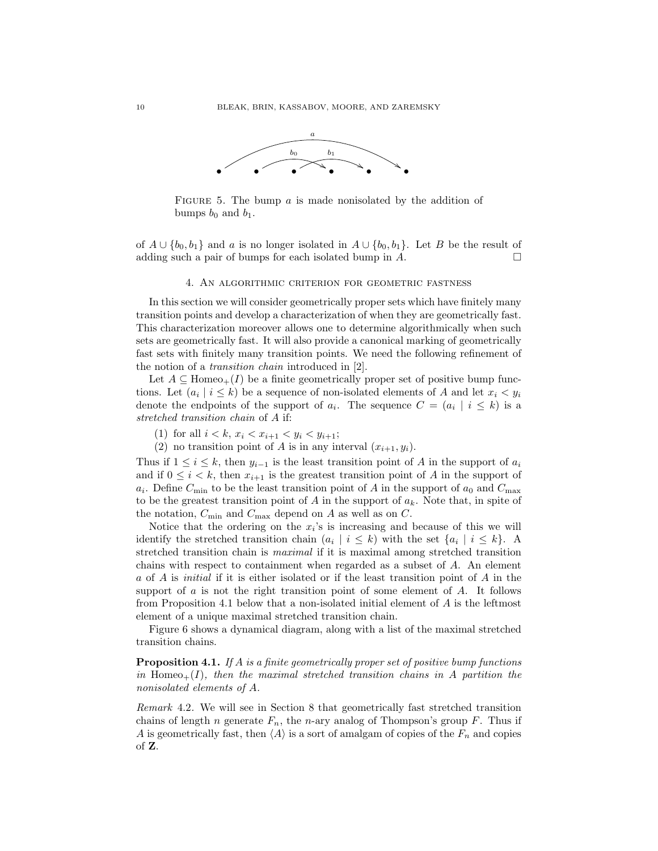

FIGURE 5. The bump  $a$  is made nonisolated by the addition of bumps  $b_0$  and  $b_1$ .

of  $A \cup \{b_0, b_1\}$  and a is no longer isolated in  $A \cup \{b_0, b_1\}$ . Let B be the result of adding such a pair of bumps for each isolated bump in  $A$ .

#### 4. An algorithmic criterion for geometric fastness

In this section we will consider geometrically proper sets which have finitely many transition points and develop a characterization of when they are geometrically fast. This characterization moreover allows one to determine algorithmically when such sets are geometrically fast. It will also provide a canonical marking of geometrically fast sets with finitely many transition points. We need the following refinement of the notion of a transition chain introduced in [2].

Let  $A \subseteq \text{Homeo}_+(I)$  be a finite geometrically proper set of positive bump functions. Let  $(a_i \mid i \leq k)$  be a sequence of non-isolated elements of A and let  $x_i < y_i$ denote the endpoints of the support of  $a_i$ . The sequence  $C = (a_i \mid i \leq k)$  is a stretched transition chain of A if:

- (1) for all  $i < k$ ,  $x_i < x_{i+1} < y_i < y_{i+1}$ ;
- (2) no transition point of A is in any interval  $(x_{i+1}, y_i)$ .

Thus if  $1 \leq i \leq k$ , then  $y_{i-1}$  is the least transition point of A in the support of  $a_i$ and if  $0 \leq i \leq k$ , then  $x_{i+1}$  is the greatest transition point of A in the support of  $a_i$ . Define  $C_{\text{min}}$  to be the least transition point of A in the support of  $a_0$  and  $C_{\text{max}}$ to be the greatest transition point of A in the support of  $a_k$ . Note that, in spite of the notation,  $C_{\text{min}}$  and  $C_{\text{max}}$  depend on A as well as on C.

Notice that the ordering on the  $x_i$ 's is increasing and because of this we will identify the stretched transition chain  $(a_i \mid i \leq k)$  with the set  $\{a_i \mid i \leq k\}$ . A stretched transition chain is maximal if it is maximal among stretched transition chains with respect to containment when regarded as a subset of A. An element a of A is initial if it is either isolated or if the least transition point of A in the support of  $a$  is not the right transition point of some element of  $A$ . It follows from Proposition 4.1 below that a non-isolated initial element of A is the leftmost element of a unique maximal stretched transition chain.

Figure 6 shows a dynamical diagram, along with a list of the maximal stretched transition chains.

**Proposition 4.1.** If A is a finite geometrically proper set of positive bump functions in Homeo<sub>+</sub> $(I)$ , then the maximal stretched transition chains in A partition the nonisolated elements of A.

Remark 4.2. We will see in Section 8 that geometrically fast stretched transition chains of length *n* generate  $F_n$ , the *n*-ary analog of Thompson's group *F*. Thus if A is geometrically fast, then  $\langle A \rangle$  is a sort of amalgam of copies of the  $F_n$  and copies of Z.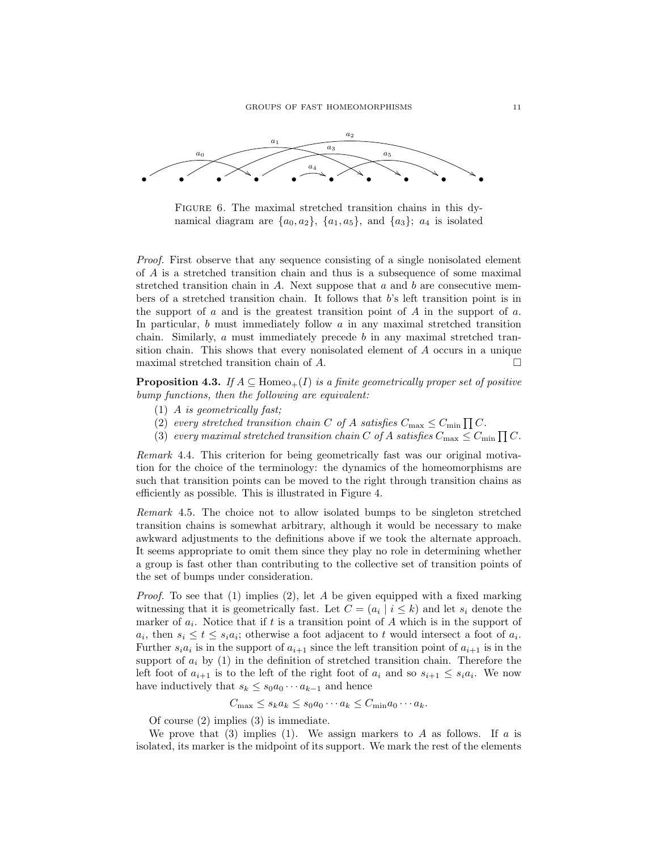

FIGURE 6. The maximal stretched transition chains in this dynamical diagram are  $\{a_0, a_2\}$ ,  $\{a_1, a_5\}$ , and  $\{a_3\}$ ;  $a_4$  is isolated

Proof. First observe that any sequence consisting of a single nonisolated element of A is a stretched transition chain and thus is a subsequence of some maximal stretched transition chain in A. Next suppose that  $a$  and  $b$  are consecutive members of a stretched transition chain. It follows that b's left transition point is in the support of  $a$  and is the greatest transition point of  $A$  in the support of  $a$ . In particular,  $b$  must immediately follow  $a$  in any maximal stretched transition chain. Similarly,  $a$  must immediately precede  $b$  in any maximal stretched transition chain. This shows that every nonisolated element of A occurs in a unique maximal stretched transition chain of  $A$ .

**Proposition 4.3.** If  $A \subseteq \text{Homeo}_+(I)$  is a finite geometrically proper set of positive bump functions, then the following are equivalent:

- (1) A is geometrically fast;
- (2) every stretched transition chain C of A satisfies  $C_{\text{max}} \leq C_{\text{min}} \prod C$ .
- (3) every maximal stretched transition chain C of A satisfies  $C_{\text{max}} \leq C_{\text{min}} \prod C$ .

Remark 4.4. This criterion for being geometrically fast was our original motivation for the choice of the terminology: the dynamics of the homeomorphisms are such that transition points can be moved to the right through transition chains as efficiently as possible. This is illustrated in Figure 4.

Remark 4.5. The choice not to allow isolated bumps to be singleton stretched transition chains is somewhat arbitrary, although it would be necessary to make awkward adjustments to the definitions above if we took the alternate approach. It seems appropriate to omit them since they play no role in determining whether a group is fast other than contributing to the collective set of transition points of the set of bumps under consideration.

*Proof.* To see that (1) implies (2), let  $A$  be given equipped with a fixed marking witnessing that it is geometrically fast. Let  $C = (a_i | i \leq k)$  and let  $s_i$  denote the marker of  $a_i$ . Notice that if t is a transition point of A which is in the support of  $a_i$ , then  $s_i \le t \le s_i a_i$ ; otherwise a foot adjacent to t would intersect a foot of  $a_i$ . Further  $s_i a_i$  is in the support of  $a_{i+1}$  since the left transition point of  $a_{i+1}$  is in the support of  $a_i$  by (1) in the definition of stretched transition chain. Therefore the left foot of  $a_{i+1}$  is to the left of the right foot of  $a_i$  and so  $s_{i+1} \leq s_i a_i$ . We now have inductively that  $s_k \leq s_0 a_0 \cdots a_{k-1}$  and hence

$$
C_{\max} \le s_k a_k \le s_0 a_0 \cdots a_k \le C_{\min} a_0 \cdots a_k.
$$

Of course (2) implies (3) is immediate.

We prove that (3) implies (1). We assign markers to A as follows. If a is isolated, its marker is the midpoint of its support. We mark the rest of the elements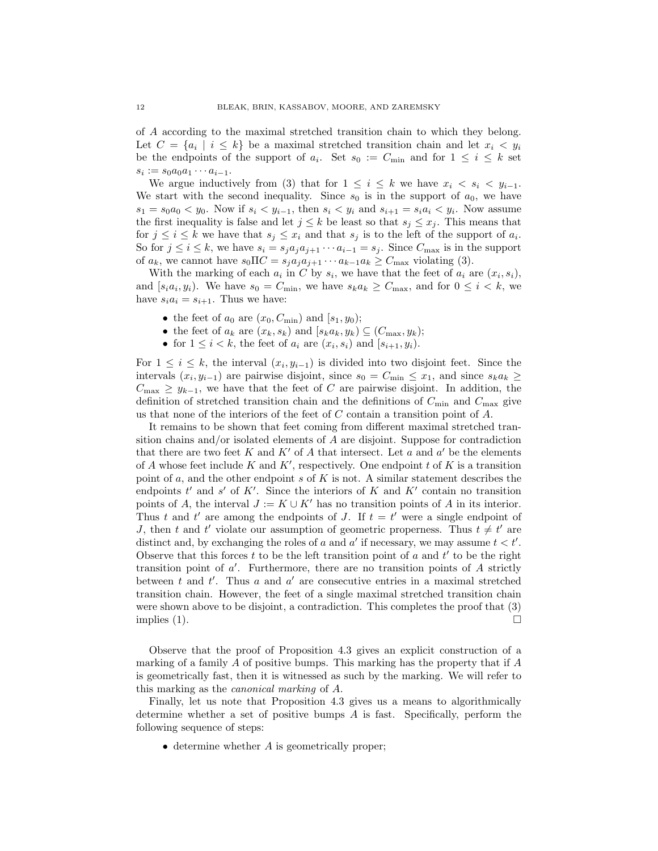of A according to the maximal stretched transition chain to which they belong. Let  $C = \{a_i \mid i \leq k\}$  be a maximal stretched transition chain and let  $x_i < y_i$ be the endpoints of the support of  $a_i$ . Set  $s_0 := C_{\min}$  and for  $1 \leq i \leq k$  set  $s_i := s_0 a_0 a_1 \cdots a_{i-1}.$ 

We argue inductively from (3) that for  $1 \leq i \leq k$  we have  $x_i < s_i < y_{i-1}$ . We start with the second inequality. Since  $s_0$  is in the support of  $a_0$ , we have  $s_1 = s_0 a_0 < y_0$ . Now if  $s_i < y_{i-1}$ , then  $s_i < y_i$  and  $s_{i+1} = s_i a_i < y_i$ . Now assume the first inequality is false and let  $j \leq k$  be least so that  $s_j \leq x_j$ . This means that for  $j \leq i \leq k$  we have that  $s_j \leq x_i$  and that  $s_j$  is to the left of the support of  $a_i$ . So for  $j \leq i \leq k$ , we have  $s_i = s_j a_j a_{j+1} \cdots a_{i-1} = s_j$ . Since  $C_{\text{max}}$  is in the support of  $a_k$ , we cannot have  $s_0 \Pi C = s_j a_j a_{j+1} \cdots a_{k-1} a_k \geq C_{\text{max}}$  violating (3).

With the marking of each  $a_i$  in C by  $s_i$ , we have that the feet of  $a_i$  are  $(x_i, s_i)$ , and  $[s_i a_i, y_i]$ . We have  $s_0 = C_{\min}$ , we have  $s_k a_k \geq C_{\max}$ , and for  $0 \leq i \leq k$ , we have  $s_i a_i = s_{i+1}$ . Thus we have:

- the feet of  $a_0$  are  $(x_0, C_{\min})$  and  $[s_1, y_0);$
- the feet of  $a_k$  are  $(x_k, s_k)$  and  $[s_k a_k, y_k) \subseteq (C_{\text{max}}, y_k);$
- for  $1 \leq i < k$ , the feet of  $a_i$  are  $(x_i, s_i)$  and  $[s_{i+1}, y_i)$ .

For  $1 \leq i \leq k$ , the interval  $(x_i, y_{i-1})$  is divided into two disjoint feet. Since the intervals  $(x_i, y_{i-1})$  are pairwise disjoint, since  $s_0 = C_{\min} \leq x_1$ , and since  $s_k a_k \geq$  $C_{\text{max}} \geq y_{k-1}$ , we have that the feet of C are pairwise disjoint. In addition, the definition of stretched transition chain and the definitions of  $C_{\text{min}}$  and  $C_{\text{max}}$  give us that none of the interiors of the feet of C contain a transition point of A.

It remains to be shown that feet coming from different maximal stretched transition chains and/or isolated elements of A are disjoint. Suppose for contradiction that there are two feet K and K' of A that intersect. Let a and  $a'$  be the elements of A whose feet include K and K', respectively. One endpoint t of K is a transition point of  $a$ , and the other endpoint  $s$  of  $K$  is not. A similar statement describes the endpoints  $t'$  and  $s'$  of  $K'$ . Since the interiors of  $K$  and  $K'$  contain no transition points of A, the interval  $J := K \cup K'$  has no transition points of A in its interior. Thus t and t' are among the endpoints of J. If  $t = t'$  were a single endpoint of J, then t and t' violate our assumption of geometric properness. Thus  $t \neq t'$  are distinct and, by exchanging the roles of a and  $a'$  if necessary, we may assume  $t < t'$ . Observe that this forces  $t$  to be the left transition point of  $a$  and  $t'$  to be the right transition point of  $a'$ . Furthermore, there are no transition points of  $A$  strictly between t and  $t'$ . Thus a and  $a'$  are consecutive entries in a maximal stretched transition chain. However, the feet of a single maximal stretched transition chain were shown above to be disjoint, a contradiction. This completes the proof that (3) implies (1).  $\Box$ 

Observe that the proof of Proposition 4.3 gives an explicit construction of a marking of a family A of positive bumps. This marking has the property that if  $A$ is geometrically fast, then it is witnessed as such by the marking. We will refer to this marking as the canonical marking of A.

Finally, let us note that Proposition 4.3 gives us a means to algorithmically determine whether a set of positive bumps A is fast. Specifically, perform the following sequence of steps:

 $\bullet$  determine whether  $\vec{A}$  is geometrically proper;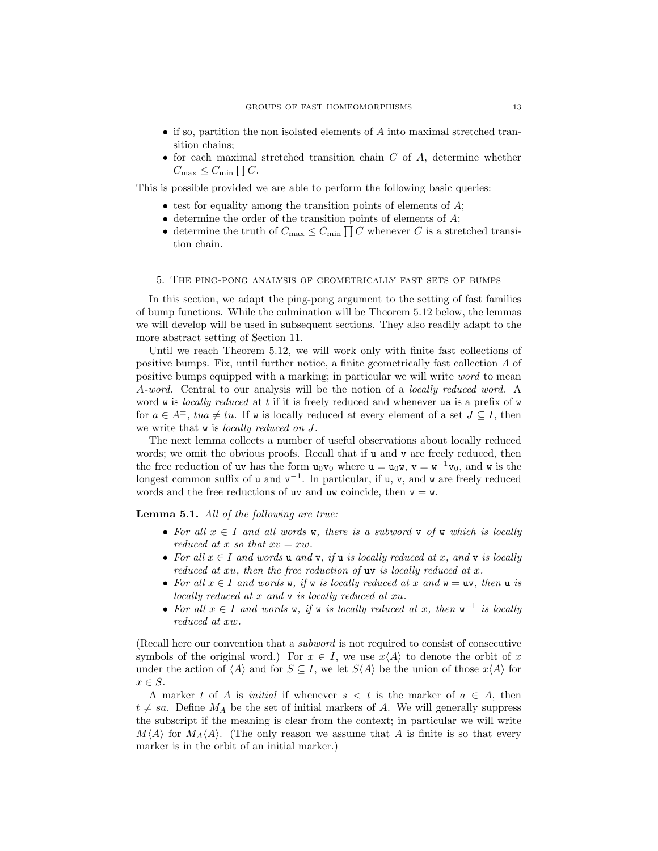- if so, partition the non isolated elements of  $A$  into maximal stretched transition chains;
- for each maximal stretched transition chain  $C$  of  $A$ , determine whether  $C_{\text{max}} \leq C_{\text{min}} \prod C.$

This is possible provided we are able to perform the following basic queries:

- $\bullet$  test for equality among the transition points of elements of  $A$ ;
- $\bullet$  determine the order of the transition points of elements of  $A$ ;
- determine the truth of  $C_{\text{max}} \leq C_{\text{min}} \prod C$  whenever C is a stretched transition chain.

## 5. The ping-pong analysis of geometrically fast sets of bumps

In this section, we adapt the ping-pong argument to the setting of fast families of bump functions. While the culmination will be Theorem 5.12 below, the lemmas we will develop will be used in subsequent sections. They also readily adapt to the more abstract setting of Section 11.

Until we reach Theorem 5.12, we will work only with finite fast collections of positive bumps. Fix, until further notice, a finite geometrically fast collection A of positive bumps equipped with a marking; in particular we will write word to mean A-word. Central to our analysis will be the notion of a locally reduced word. A word  $w$  is *locally reduced* at  $t$  if it is freely reduced and whenever ua is a prefix of  $w$ for  $a \in A^{\pm}$ ,  $tua \neq tu$ . If w is locally reduced at every element of a set  $J \subseteq I$ , then we write that **w** is *locally reduced on J*.

The next lemma collects a number of useful observations about locally reduced words; we omit the obvious proofs. Recall that if u and v are freely reduced, then the free reduction of uv has the form  $u_0v_0$  where  $u = u_0w$ ,  $v = w^{-1}v_0$ , and w is the longest common suffix of  $u$  and  $v^{-1}$ . In particular, if  $u$ ,  $v$ , and  $w$  are freely reduced words and the free reductions of uv and uw coincide, then  $v = w$ .

Lemma 5.1. All of the following are true:

- For all  $x \in I$  and all words **w**, there is a subword **v** of **w** which is locally reduced at x so that  $xv = xw$ .
- For all  $x \in I$  and words u and v, if u is locally reduced at x, and v is locally reduced at  $xu$ , then the free reduction of  $uv$  is locally reduced at  $x$ .
- For all  $x \in I$  and words **w**, if **w** is locally reduced at x and **w** = **uv**, then **u** is locally reduced at x and v is locally reduced at xu.
- For all  $x \in I$  and words w, if w is locally reduced at x, then w<sup>-1</sup> is locally reduced at xw.

(Recall here our convention that a subword is not required to consist of consecutive symbols of the original word.) For  $x \in I$ , we use  $x\langle A \rangle$  to denote the orbit of x under the action of  $\langle A \rangle$  and for  $S \subseteq I$ , we let  $S\langle A \rangle$  be the union of those  $x\langle A \rangle$  for  $x \in S$ .

A marker t of A is *initial* if whenever  $s < t$  is the marker of  $a \in A$ , then  $t \neq sa$ . Define  $M_A$  be the set of initial markers of A. We will generally suppress the subscript if the meaning is clear from the context; in particular we will write  $M\langle A \rangle$  for  $M_A\langle A \rangle$ . (The only reason we assume that A is finite is so that every marker is in the orbit of an initial marker.)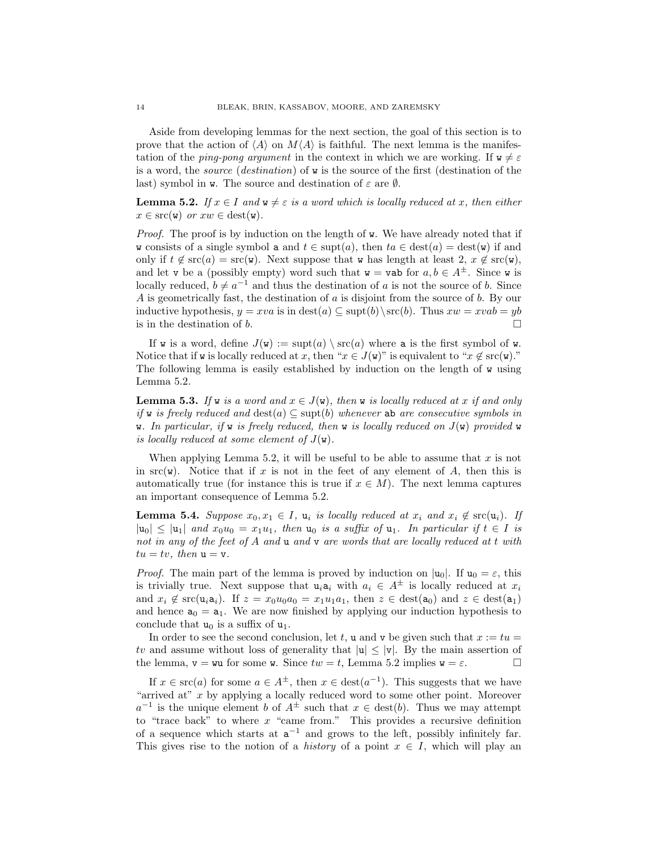Aside from developing lemmas for the next section, the goal of this section is to prove that the action of  $\langle A \rangle$  on  $M\langle A \rangle$  is faithful. The next lemma is the manifestation of the *ping-pong argument* in the context in which we are working. If  $\mathbf{w} \neq \varepsilon$ is a word, the source (destination) of w is the source of the first (destination of the last) symbol in **w**. The source and destination of  $\varepsilon$  are  $\emptyset$ .

**Lemma 5.2.** If  $x \in I$  and  $\mathbf{w} \neq \varepsilon$  is a word which is locally reduced at x, then either  $x \in \text{src}(w)$  or  $xw \in \text{dest}(w)$ .

*Proof.* The proof is by induction on the length of **w**. We have already noted that if w consists of a single symbol a and  $t \in \text{supt}(a)$ , then  $ta \in \text{dest}(a) = \text{dest}(\mathbf{w})$  if and only if  $t \notin \mathrm{src}(a) = \mathrm{src}(w)$ . Next suppose that w has length at least  $2, x \notin \mathrm{src}(w)$ , and let v be a (possibly empty) word such that  $w = vab$  for  $a, b \in A^{\pm}$ . Since w is locally reduced,  $b \neq a^{-1}$  and thus the destination of a is not the source of b. Since A is geometrically fast, the destination of a is disjoint from the source of b. By our inductive hypothesis,  $y = xva$  is in  $\text{dest}(a) \subseteq \text{sub}(b) \setminus \text{src}(b)$ . Thus  $xw = xvab = yb$ is in the destination of b.

If w is a word, define  $J(\mathbf{w}) := \text{supt}(a) \setminus \text{src}(a)$  where a is the first symbol of w. Notice that if w is locally reduced at x, then " $x \in J(\mathbf{w})$ " is equivalent to " $x \notin \text{src}(\mathbf{w})$ ." The following lemma is easily established by induction on the length of w using Lemma 5.2.

**Lemma 5.3.** If w is a word and  $x \in J(\mathbf{w})$ , then w is locally reduced at x if and only if w is freely reduced and  $\text{dest}(a) \subseteq \text{sub}(b)$  whenever ab are consecutive symbols in w. In particular, if w is freely reduced, then w is locally reduced on  $J(\mathbf{w})$  provided w is locally reduced at some element of  $J(\mathbf{w})$ .

When applying Lemma 5.2, it will be useful to be able to assume that  $x$  is not in  $src(w)$ . Notice that if x is not in the feet of any element of A, then this is automatically true (for instance this is true if  $x \in M$ ). The next lemma captures an important consequence of Lemma 5.2.

**Lemma 5.4.** Suppose  $x_0, x_1 \in I$ ,  $u_i$  is locally reduced at  $x_i$  and  $x_i \notin \text{src}(u_i)$ . If  $|u_0| \le |u_1|$  and  $x_0u_0 = x_1u_1$ , then  $u_0$  is a suffix of  $u_1$ . In particular if  $t \in I$  is not in any of the feet of A and  $\bf{u}$  and  $\bf{v}$  are words that are locally reduced at t with  $tu = tv$ , then  $u = v$ .

*Proof.* The main part of the lemma is proved by induction on  $|u_0|$ . If  $u_0 = \varepsilon$ , this is trivially true. Next suppose that  $u_i a_i$  with  $a_i \in A^{\pm}$  is locally reduced at  $x_i$ and  $x_i \notin \text{src}(u_i a_i)$ . If  $z = x_0 u_0 a_0 = x_1 u_1 a_1$ , then  $z \in \text{dest}(a_0)$  and  $z \in \text{dest}(a_1)$ and hence  $a_0 = a_1$ . We are now finished by applying our induction hypothesis to conclude that  $u_0$  is a suffix of  $u_1$ .

In order to see the second conclusion, let t, u and v be given such that  $x := tu =$ tv and assume without loss of generality that  $|u| \leq |v|$ . By the main assertion of the lemma,  $\mathbf{v} = \mathbf{w}$  for some  $\mathbf{w}$ . Since  $tw = t$ , Lemma 5.2 implies  $\mathbf{w} = \varepsilon$ .

If  $x \in \text{src}(a)$  for some  $a \in A^{\pm}$ , then  $x \in \text{dest}(a^{-1})$ . This suggests that we have "arrived at" x by applying a locally reduced word to some other point. Moreover  $a^{-1}$  is the unique element b of  $A^{\pm}$  such that  $x \in \text{dest}(b)$ . Thus we may attempt to "trace back" to where  $x$  "came from." This provides a recursive definition of a sequence which starts at  $a^{-1}$  and grows to the left, possibly infinitely far. This gives rise to the notion of a *history* of a point  $x \in I$ , which will play an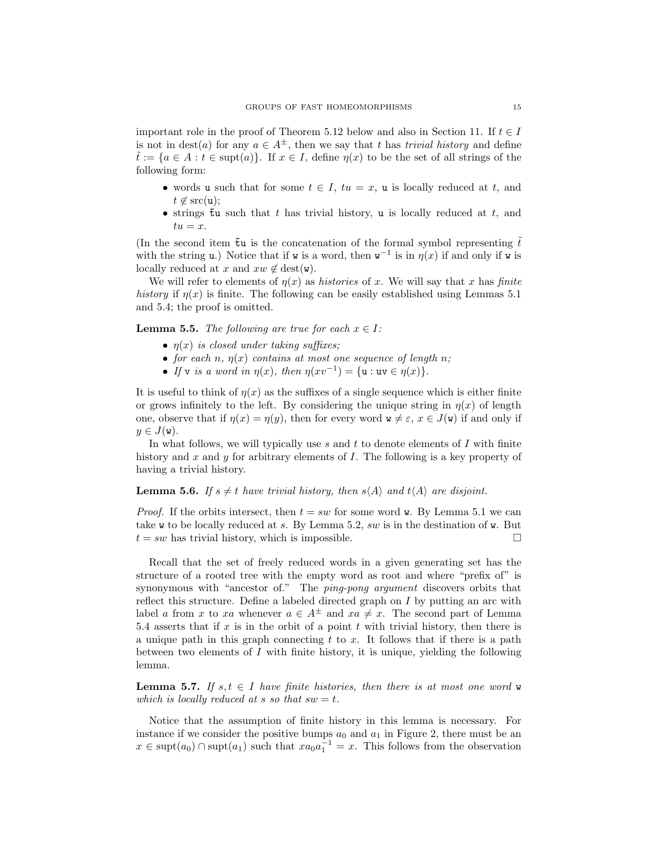important role in the proof of Theorem 5.12 below and also in Section 11. If  $t \in I$ is not in dest(a) for any  $a \in A^{\pm}$ , then we say that t has trivial history and define  $\tilde{t} := \{a \in A : t \in \text{supt}(a)\}\.$  If  $x \in I$ , define  $\eta(x)$  to be the set of all strings of the following form:

- words u such that for some  $t \in I$ ,  $tu = x$ , u is locally reduced at t, and  $t \notin \text{src}(\mathtt{u});$
- strings  $\tilde{t}$ u such that t has trivial history, u is locally reduced at t, and  $tu = x$ .

(In the second item  $\tilde{\tau}u$  is the concatenation of the formal symbol representing  $\tilde{t}$ with the string u.) Notice that if w is a word, then  $w^{-1}$  is in  $\eta(x)$  if and only if w is locally reduced at x and  $xw \notin \text{dest}(w)$ .

We will refer to elements of  $n(x)$  as *histories* of x. We will say that x has *finite* history if  $\eta(x)$  is finite. The following can be easily established using Lemmas 5.1 and 5.4; the proof is omitted.

**Lemma 5.5.** The following are true for each  $x \in I$ :

- $\eta(x)$  is closed under taking suffixes;
- for each n,  $\eta(x)$  contains at most one sequence of length n;
- If v is a word in  $\eta(x)$ , then  $\eta(xv^{-1}) = \{u : uv \in \eta(x)\}.$

It is useful to think of  $n(x)$  as the suffixes of a single sequence which is either finite or grows infinitely to the left. By considering the unique string in  $\eta(x)$  of length one, observe that if  $\eta(x) = \eta(y)$ , then for every word  $\mathbf{w} \neq \varepsilon$ ,  $x \in J(\mathbf{w})$  if and only if  $y \in J(\mathbf{w}).$ 

In what follows, we will typically use  $s$  and  $t$  to denote elements of  $I$  with finite history and x and y for arbitrary elements of I. The following is a key property of having a trivial history.

**Lemma 5.6.** If  $s \neq t$  have trivial history, then  $s \langle A \rangle$  and  $t \langle A \rangle$  are disjoint.

*Proof.* If the orbits intersect, then  $t = sw$  for some word **w**. By Lemma 5.1 we can take w to be locally reduced at s. By Lemma 5.2, sw is in the destination of w. But  $t = sw$  has trivial history, which is impossible.

Recall that the set of freely reduced words in a given generating set has the structure of a rooted tree with the empty word as root and where "prefix of" is synonymous with "ancestor of." The *ping-pong argument* discovers orbits that reflect this structure. Define a labeled directed graph on I by putting an arc with label a from x to xa whenever  $a \in A^{\pm}$  and  $xa \neq x$ . The second part of Lemma 5.4 asserts that if  $x$  is in the orbit of a point  $t$  with trivial history, then there is a unique path in this graph connecting t to x. It follows that if there is a path between two elements of  $I$  with finite history, it is unique, yielding the following lemma.

**Lemma 5.7.** If  $s, t \in I$  have finite histories, then there is at most one word w which is locally reduced at s so that  $sw = t$ .

Notice that the assumption of finite history in this lemma is necessary. For instance if we consider the positive bumps  $a_0$  and  $a_1$  in Figure 2, there must be an  $x \in \text{supt}(a_0) \cap \text{supt}(a_1)$  such that  $xa_0a_1^{-1} = x$ . This follows from the observation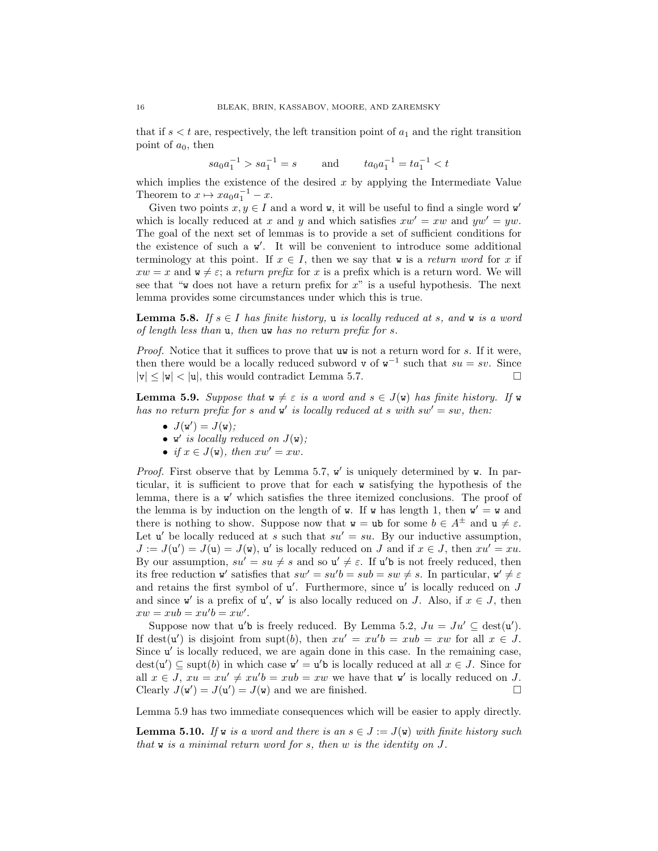that if  $s < t$  are, respectively, the left transition point of  $a_1$  and the right transition point of  $a_0$ , then

$$
sa_0a_1^{-1} > sa_1^{-1} = s \qquad \text{ and } \qquad ta_0a_1^{-1} = ta_1^{-1} < t
$$

which implies the existence of the desired  $x$  by applying the Intermediate Value Theorem to  $x \mapsto xa_0a_1^{-1} - x$ .

Given two points  $x, y \in I$  and a word **w**, it will be useful to find a single word **w**' which is locally reduced at x and y and which satisfies  $xw' = xw$  and  $yw' = yw$ . The goal of the next set of lemmas is to provide a set of sufficient conditions for the existence of such a  $\mathbf{w}'$ . It will be convenient to introduce some additional terminology at this point. If  $x \in I$ , then we say that w is a return word for x if  $xw = x$  and  $\mathbf{w} \neq \varepsilon$ ; a return prefix for x is a prefix which is a return word. We will see that "w does not have a return prefix for  $x$ " is a useful hypothesis. The next lemma provides some circumstances under which this is true.

**Lemma 5.8.** If  $s \in I$  has finite history, **u** is locally reduced at s, and **w** is a word of length less than u, then uw has no return prefix for s.

Proof. Notice that it suffices to prove that uw is not a return word for s. If it were, then there would be a locally reduced subword v of  $w^{-1}$  such that  $su = sv$ . Since  $|v| \le |w| < |u|$ , this would contradict Lemma 5.7.

**Lemma 5.9.** Suppose that  $w \neq \varepsilon$  is a word and  $s \in J(w)$  has finite history. If w has no return prefix for s and  $\mathbf{w}'$  is locally reduced at s with  $sw' = sw$ , then:

- $J(\mathbf{w}') = J(\mathbf{w});$
- $\mathbf{w}'$  is locally reduced on  $J(\mathbf{w})$ ;
- if  $x \in J(\mathbf{w})$ , then  $xw' = xw$ .

*Proof.* First observe that by Lemma 5.7,  $w'$  is uniquely determined by  $w$ . In particular, it is sufficient to prove that for each w satisfying the hypothesis of the lemma, there is a w' which satisfies the three itemized conclusions. The proof of the lemma is by induction on the length of  $w$ . If  $w$  has length 1, then  $w' = w$  and there is nothing to show. Suppose now that  $w = ub$  for some  $b \in A^{\pm}$  and  $u \neq \varepsilon$ . Let  $u'$  be locally reduced at s such that  $su' = su$ . By our inductive assumption,  $J := J(u') = J(u) = J(w)$ , u' is locally reduced on J and if  $x \in J$ , then  $xu' = xu$ . By our assumption,  $su' = su \neq s$  and so  $u' \neq \varepsilon$ . If  $u'$ b is not freely reduced, then its free reduction w' satisfies that  $sw' = su'b = sub = sw \neq s$ . In particular,  $w' \neq \varepsilon$ and retains the first symbol of  $u'$ . Furthermore, since  $u'$  is locally reduced on  $J$ and since w' is a prefix of  $u'$ , w' is also locally reduced on J. Also, if  $x \in J$ , then  $xw = xub = xu'b = xw'.$ 

Suppose now that  $u'$ b is freely reduced. By Lemma 5.2,  $Ju = Ju' \subseteq \text{dest}(u')$ . If dest(u') is disjoint from supt(b), then  $xu' = xu'b = xub = xw$  for all  $x \in J$ . Since u' is locally reduced, we are again done in this case. In the remaining case,  $dest(u') \subseteq \text{supt}(b)$  in which case  $v' = u'b$  is locally reduced at all  $x \in J$ . Since for all  $x \in J$ ,  $xu = xu' \neq xu'b = xub = xw$  we have that w' is locally reduced on J. Clearly  $J(\mathbf{w}') = J(\mathbf{u}') = J(\mathbf{w})$  and we are finished.

Lemma 5.9 has two immediate consequences which will be easier to apply directly.

**Lemma 5.10.** If w is a word and there is an  $s \in J := J(\mathbf{w})$  with finite history such that w is a minimal return word for s, then w is the identity on J.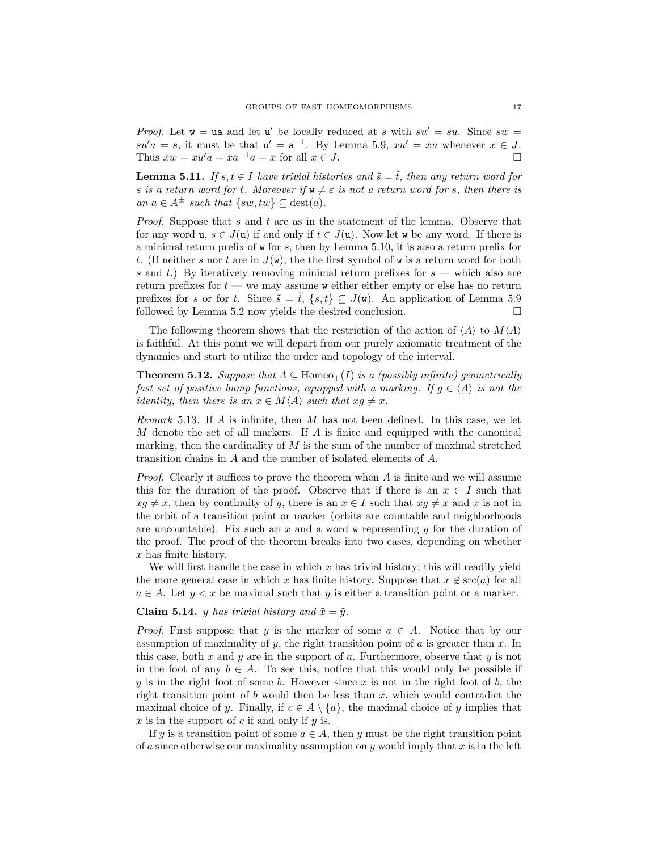*Proof.* Let  $w = ua$  and let u' be locally reduced at s with  $su' = su$ . Since  $sw =$  $su'a = s$ , it must be that  $u' = a^{-1}$ . By Lemma 5.9,  $xu' = xu$  whenever  $x \in J$ . Thus  $xw = xu'a = xa^{-1}a = x$  for all  $x \in J$ .

**Lemma 5.11.** If  $s, t \in I$  have trivial histories and  $\tilde{s} = \tilde{t}$ , then any return word for s is a return word for t. Moreover if  $w \neq \varepsilon$  is not a return word for s, then there is an  $a \in A^{\pm}$  such that  $\{sw, tw\} \subseteq \text{dest}(a)$ .

Proof. Suppose that s and t are as in the statement of the lemma. Observe that for any word u,  $s \in J(\mathfrak{u})$  if and only if  $t \in J(\mathfrak{u})$ . Now let w be any word. If there is a minimal return prefix of w for s, then by Lemma 5.10, it is also a return prefix for t. (If neither s nor t are in  $J(\mathbf{w})$ , the the first symbol of  $\mathbf{w}$  is a return word for both s and t.) By iteratively removing minimal return prefixes for  $s$  — which also are return prefixes for  $t - w$ e may assume w either either empty or else has no return prefixes for s or for t. Since  $\tilde{s} = \tilde{t}$ ,  $\{s, t\} \subseteq J(\mathbf{w})$ . An application of Lemma 5.9 followed by Lemma 5.2 now yields the desired conclusion.  $\Box$ 

The following theorem shows that the restriction of the action of  $\langle A \rangle$  to  $M\langle A \rangle$ is faithful. At this point we will depart from our purely axiomatic treatment of the dynamics and start to utilize the order and topology of the interval.

**Theorem 5.12.** Suppose that  $A \subseteq \text{Homeo}_+(I)$  is a (possibly infinite) geometrically fast set of positive bump functions, equipped with a marking. If  $g \in \langle A \rangle$  is not the identity, then there is an  $x \in M\langle A \rangle$  such that  $xg \neq x$ .

Remark 5.13. If A is infinite, then M has not been defined. In this case, we let M denote the set of all markers. If A is finite and equipped with the canonical marking, then the cardinality of  $M$  is the sum of the number of maximal stretched transition chains in A and the number of isolated elements of A.

*Proof.* Clearly it suffices to prove the theorem when  $A$  is finite and we will assume this for the duration of the proof. Observe that if there is an  $x \in I$  such that  $xg \neq x$ , then by continuity of g, there is an  $x \in I$  such that  $xg \neq x$  and x is not in the orbit of a transition point or marker (orbits are countable and neighborhoods are uncountable). Fix such an x and a word  $\bf{w}$  representing g for the duration of the proof. The proof of the theorem breaks into two cases, depending on whether  $x$  has finite history.

We will first handle the case in which  $x$  has trivial history; this will readily yield the more general case in which x has finite history. Suppose that  $x \notin \text{src}(a)$  for all  $a \in A$ . Let  $y < x$  be maximal such that y is either a transition point or a marker.

#### **Claim 5.14.** y has trivial history and  $\tilde{x} = \tilde{y}$ .

*Proof.* First suppose that y is the marker of some  $a \in A$ . Notice that by our assumption of maximality of y, the right transition point of  $a$  is greater than  $x$ . In this case, both  $x$  and  $y$  are in the support of  $a$ . Furthermore, observe that  $y$  is not in the foot of any  $b \in A$ . To see this, notice that this would only be possible if y is in the right foot of some b. However since x is not in the right foot of b, the right transition point of b would then be less than  $x$ , which would contradict the maximal choice of y. Finally, if  $c \in A \setminus \{a\}$ , the maximal choice of y implies that  $x$  is in the support of  $c$  if and only if  $y$  is.

If y is a transition point of some  $a \in A$ , then y must be the right transition point of a since otherwise our maximality assumption on  $\eta$  would imply that  $x$  is in the left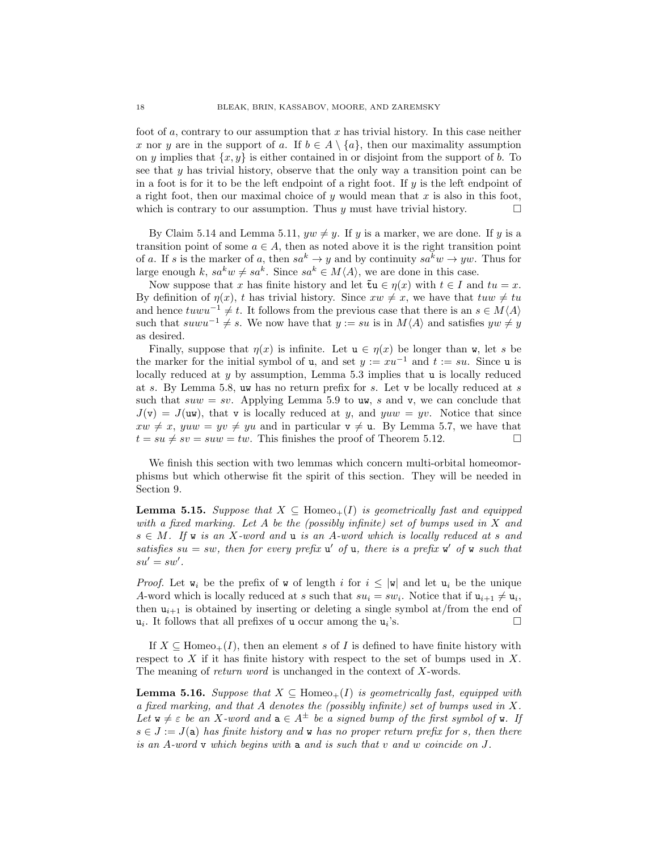foot of a, contrary to our assumption that x has trivial history. In this case neither x nor y are in the support of a. If  $b \in A \setminus \{a\}$ , then our maximality assumption on y implies that  $\{x, y\}$  is either contained in or disjoint from the support of b. To see that  $y$  has trivial history, observe that the only way a transition point can be in a foot is for it to be the left endpoint of a right foot. If  $y$  is the left endpoint of a right foot, then our maximal choice of y would mean that  $x$  is also in this foot, which is contrary to our assumption. Thus y must have trivial history.  $\Box$ 

By Claim 5.14 and Lemma 5.11,  $yw \neq y$ . If y is a marker, we are done. If y is a transition point of some  $a \in A$ , then as noted above it is the right transition point of a. If s is the marker of a, then  $sa^k \to y$  and by continuity  $sa^k w \to yw$ . Thus for large enough k,  $sa^k w \neq sa^k$ . Since  $sa^k \in M\langle A \rangle$ , we are done in this case.

Now suppose that x has finite history and let  $\tilde{\tau}u \in \eta(x)$  with  $t \in I$  and  $tu = x$ . By definition of  $\eta(x)$ , t has trivial history. Since  $xw \neq x$ , we have that  $tuw \neq tu$ and hence  $t u w u^{-1} \neq t$ . It follows from the previous case that there is an  $s \in M\langle A \rangle$ such that  $s u w u^{-1} \neq s$ . We now have that  $y := su$  is in  $M\langle A \rangle$  and satisfies  $yw \neq y$ as desired.

Finally, suppose that  $\eta(x)$  is infinite. Let  $u \in \eta(x)$  be longer than w, let s be the marker for the initial symbol of u, and set  $y := xu^{-1}$  and  $t := su$ . Since u is locally reduced at  $y$  by assumption, Lemma 5.3 implies that  $\bf{u}$  is locally reduced at s. By Lemma 5.8, uw has no return prefix for s. Let v be locally reduced at s such that  $suw = sv$ . Applying Lemma 5.9 to uw, s and v, we can conclude that  $J(v) = J(uw)$ , that v is locally reduced at y, and yuw = yv. Notice that since  $xw \neq x$ , yuw = yv  $\neq$  yu and in particular  $v \neq u$ . By Lemma 5.7, we have that  $t = su \neq sv = suw = tw$ . This finishes the proof of Theorem 5.12.

We finish this section with two lemmas which concern multi-orbital homeomorphisms but which otherwise fit the spirit of this section. They will be needed in Section 9.

**Lemma 5.15.** Suppose that  $X \subseteq \text{Homeo}_+(I)$  is geometrically fast and equipped with a fixed marking. Let A be the (possibly infinite) set of bumps used in X and  $s \in M$ . If w is an X-word and u is an A-word which is locally reduced at s and satisfies  $su = sw$ , then for every prefix  $u'$  of  $u$ , there is a prefix  $v'$  of  $v$  such that  $su'=sw'.$ 

*Proof.* Let  $w_i$  be the prefix of w of length i for  $i \leq |w|$  and let  $u_i$  be the unique A-word which is locally reduced at s such that  $su_i = sw_i$ . Notice that if  $u_{i+1} \neq u_i$ , then  $u_{i+1}$  is obtained by inserting or deleting a single symbol at/from the end of  $u_i$ . It follows that all prefixes of u occur among the  $u_i$  $\mathbf{S}$ .

If  $X \subseteq \text{Homeo}_+(I)$ , then an element s of I is defined to have finite history with respect to  $X$  if it has finite history with respect to the set of bumps used in  $X$ . The meaning of return word is unchanged in the context of X-words.

**Lemma 5.16.** Suppose that  $X \subseteq \text{Homeo}_+(I)$  is geometrically fast, equipped with a fixed marking, and that A denotes the (possibly infinite) set of bumps used in X. Let  $w \neq \varepsilon$  be an X-word and  $a \in A^{\pm}$  be a signed bump of the first symbol of w. If  $s \in J := J(\mathsf{a})$  has finite history and w has no proper return prefix for s, then there is an A-word v which begins with a and is such that v and w coincide on J.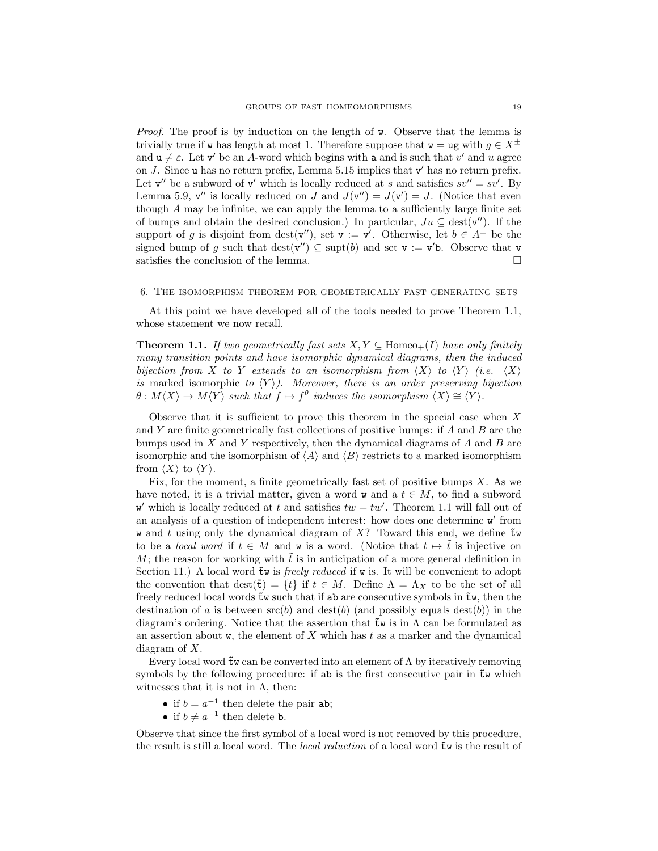Proof. The proof is by induction on the length of w. Observe that the lemma is trivially true if w has length at most 1. Therefore suppose that  $\mathbf{w} = \mathbf{u}\mathbf{g}$  with  $q \in X^{\pm}$ and  $u \neq \varepsilon$ . Let v' be an A-word which begins with a and is such that v' and u agree on  $J$ . Since u has no return prefix, Lemma 5.15 implies that  $v'$  has no return prefix. Let  $v''$  be a subword of  $v'$  which is locally reduced at s and satisfies  $sv'' = sv'$ . By Lemma 5.9,  $v''$  is locally reduced on J and  $J(v'') = J(v') = J$ . (Notice that even though A may be infinite, we can apply the lemma to a sufficiently large finite set of bumps and obtain the desired conclusion.) In particular,  $Ju \subseteq \text{dest}(\mathbf{v}'')$ . If the support of g is disjoint from  $\text{dest}(v'')$ , set  $v := v'$ . Otherwise, let  $b \in A^{\pm}$  be the signed bump of g such that  $\text{dest}(\mathbf{v}'') \subseteq \text{supt}(b)$  and set  $\mathbf{v} := \mathbf{v}'\mathbf{b}$ . Observe that  $\mathbf{v}$ satisfies the conclusion of the lemma.  $\Box$ 

#### 6. The isomorphism theorem for geometrically fast generating sets

At this point we have developed all of the tools needed to prove Theorem 1.1, whose statement we now recall.

**Theorem 1.1.** If two geometrically fast sets  $X, Y \subseteq \text{Homeo}_+(I)$  have only finitely many transition points and have isomorphic dynamical diagrams, then the induced bijection from X to Y extends to an isomorphism from  $\langle X \rangle$  to  $\langle Y \rangle$  (i.e.  $\langle X \rangle$ ) is marked isomorphic to  $\langle Y \rangle$ ). Moreover, there is an order preserving bijection  $\theta: M\langle X\rangle \to M\langle Y\rangle$  such that  $f \mapsto f^{\theta}$  induces the isomorphism  $\langle X\rangle \cong \langle Y\rangle$ .

Observe that it is sufficient to prove this theorem in the special case when  $X$ and  $Y$  are finite geometrically fast collections of positive bumps: if  $A$  and  $B$  are the bumps used in  $X$  and  $Y$  respectively, then the dynamical diagrams of  $A$  and  $B$  are isomorphic and the isomorphism of  $\langle A \rangle$  and  $\langle B \rangle$  restricts to a marked isomorphism from  $\langle X \rangle$  to  $\langle Y \rangle$ .

Fix, for the moment, a finite geometrically fast set of positive bumps  $X$ . As we have noted, it is a trivial matter, given a word w and a  $t \in M$ , to find a subword w' which is locally reduced at t and satisfies  $tw = tw'$ . Theorem 1.1 will fall out of an analysis of a question of independent interest: how does one determine w' from w and t using only the dynamical diagram of  $X$ ? Toward this end, we define  $\tilde{\tau}$ w to be a local word if  $t \in M$  and w is a word. (Notice that  $t \mapsto t$  is injective on M; the reason for working with the is in anticipation of a more general definition in Section 11.) A local word  $\tilde{\tau}$ w is *freely reduced* if w is. It will be convenient to adopt the convention that  $\text{dest}(\tilde{\mathbf{t}}) = \{t\}$  if  $t \in M$ . Define  $\Lambda = \Lambda_X$  to be the set of all freely reduced local words  $~t$ w such that if ab are consecutive symbols in  $~t$ w, then the destination of a is between  $\operatorname{src}(b)$  and  $\operatorname{dest}(b)$  (and possibly equals  $\operatorname{dest}(b)$ ) in the diagram's ordering. Notice that the assertion that  $\tilde{\tau}$  is in  $\Lambda$  can be formulated as an assertion about  $\bf{w}$ , the element of X which has t as a marker and the dynamical diagram of X.

Every local word  $\tilde{\tau}$  w can be converted into an element of  $\Lambda$  by iteratively removing symbols by the following procedure: if ab is the first consecutive pair in  $\tilde{\tau}$  which witnesses that it is not in  $\Lambda$ , then:

- if  $b = a^{-1}$  then delete the pair ab;
- if  $b \neq a^{-1}$  then delete b.

Observe that since the first symbol of a local word is not removed by this procedure, the result is still a local word. The *local reduction* of a local word  $\tilde{\tau}$  is the result of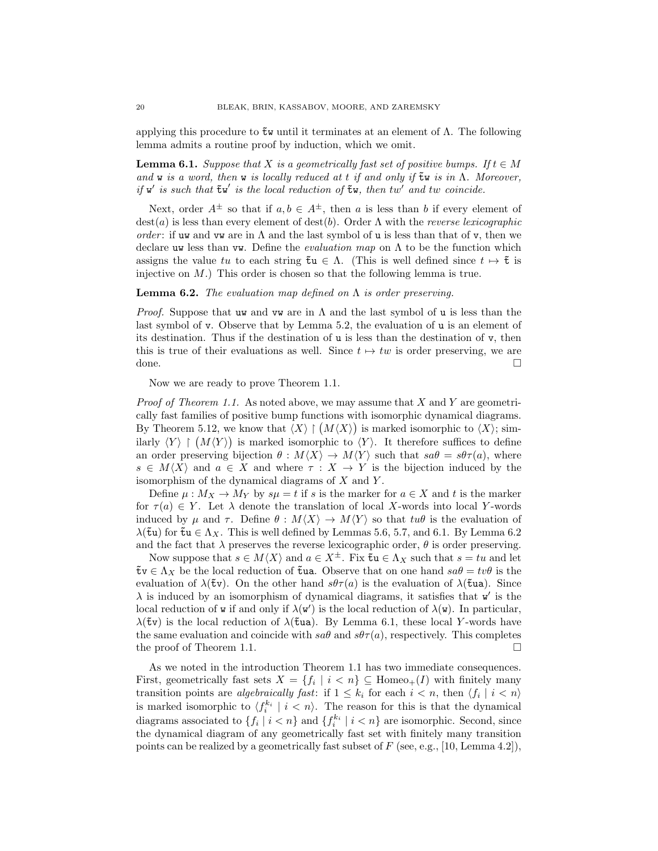applying this procedure to  $\tilde{\mathbf{t}}$  w until it terminates at an element of  $\Lambda$ . The following lemma admits a routine proof by induction, which we omit.

**Lemma 6.1.** Suppose that X is a geometrically fast set of positive bumps. If  $t \in M$ and w is a word, then w is locally reduced at t if and only if  $\tilde{\bf{t}}$  w is in  $\Lambda$ . Moreover, if  $w'$  is such that  $\tilde{\tau}w'$  is the local reduction of  $\tilde{\tau}w$ , then tw' and tw coincide.

Next, order  $A^{\pm}$  so that if  $a, b \in A^{\pm}$ , then a is less than b if every element of  $\text{dest}(a)$  is less than every element of  $\text{dest}(b)$ . Order  $\Lambda$  with the *reverse lexicographic* order: if uw and vw are in  $\Lambda$  and the last symbol of u is less than that of v, then we declare uw less than vw. Define the *evaluation map* on  $\Lambda$  to be the function which assigns the value tu to each string  $\tilde{\tau}u \in \Lambda$ . (This is well defined since  $t \mapsto \tilde{\tau}$  is injective on  $M$ .) This order is chosen so that the following lemma is true.

### **Lemma 6.2.** The evaluation map defined on  $\Lambda$  is order preserving.

*Proof.* Suppose that uw and vw are in  $\Lambda$  and the last symbol of u is less than the last symbol of v. Observe that by Lemma 5.2, the evaluation of u is an element of its destination. Thus if the destination of  $\bf{u}$  is less than the destination of  $\bf{v}$ , then this is true of their evaluations as well. Since  $t \mapsto tw$  is order preserving, we are done.

Now we are ready to prove Theorem 1.1.

*Proof of Theorem 1.1.* As noted above, we may assume that  $X$  and  $Y$  are geometrically fast families of positive bump functions with isomorphic dynamical diagrams. By Theorem 5.12, we know that  $\langle X \rangle \upharpoonright (M\langle X \rangle)$  is marked isomorphic to  $\langle X \rangle$ ; similarly  $\langle Y \rangle \upharpoonright (M\langle Y \rangle)$  is marked isomorphic to  $\langle Y \rangle$ . It therefore suffices to define an order preserving bijection  $\theta : M\langle X\rangle \to M\langle Y\rangle$  such that  $s a\theta = s\theta\tau(a)$ , where  $s \in M\langle X\rangle$  and  $a \in X$  and where  $\tau : X \to Y$  is the bijection induced by the isomorphism of the dynamical diagrams of  $X$  and  $Y$ .

Define  $\mu: M_X \to M_Y$  by  $s\mu = t$  if s is the marker for  $a \in X$  and t is the marker for  $\tau(a) \in Y$ . Let  $\lambda$  denote the translation of local X-words into local Y-words induced by  $\mu$  and  $\tau$ . Define  $\theta : M\langle X\rangle \to M\langle Y\rangle$  so that  $tu\theta$  is the evaluation of  $\lambda$ ( $\tilde{\tau}$ u) for  $\tilde{\tau}$ u ∈  $\Lambda_X$ . This is well defined by Lemmas 5.6, 5.7, and 6.1. By Lemma 6.2 and the fact that  $\lambda$  preserves the reverse lexicographic order,  $\theta$  is order preserving.

Now suppose that  $s \in M\langle X\rangle$  and  $a \in X^{\pm}$ . Fix  $\tilde{\tau}u \in \Lambda_X$  such that  $s = tu$  and let  $~\mathbf{t} \mathbf{v} \in \Lambda_X~\mathbf{b}$  be the local reduction of  $\mathbf{t}$ ua. Observe that on one hand  $sa\theta = tv\theta$  is the evaluation of  $\lambda$ ( $\tilde{\tau}$ v). On the other hand  $s\theta\tau(a)$  is the evaluation of  $\lambda$ ( $\tilde{\tau}$ ua). Since  $\lambda$  is induced by an isomorphism of dynamical diagrams, it satisfies that  $w'$  is the local reduction of **w** if and only if  $\lambda(\mathbf{w}')$  is the local reduction of  $\lambda(\mathbf{w})$ . In particular,  $\lambda$ ( $\tilde{\tau}$ v) is the local reduction of  $\lambda$ ( $\tilde{\tau}$ ua). By Lemma 6.1, these local Y-words have the same evaluation and coincide with  $sa\theta$  and  $s\theta\tau(a)$ , respectively. This completes the proof of Theorem 1.1.

As we noted in the introduction Theorem 1.1 has two immediate consequences. First, geometrically fast sets  $X = \{f_i \mid i < n\} \subseteq \text{Homeo}_+(I)$  with finitely many transition points are algebraically fast: if  $1 \leq k_i$  for each  $i < n$ , then  $\langle f_i | i < n \rangle$ is marked isomorphic to  $\langle f_i^{k_i} \mid i \langle n \rangle$ . The reason for this is that the dynamical diagrams associated to  $\{f_i \mid i \leq n\}$  and  $\{f_i^{k_i} \mid i \leq n\}$  are isomorphic. Second, since the dynamical diagram of any geometrically fast set with finitely many transition points can be realized by a geometrically fast subset of  $F$  (see, e.g., [10, Lemma 4.2]),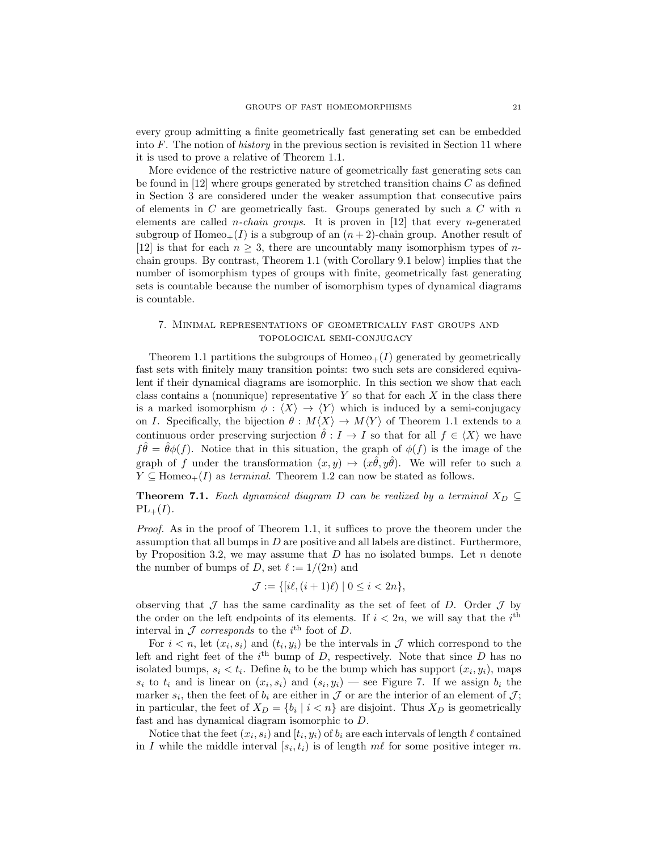every group admitting a finite geometrically fast generating set can be embedded into F. The notion of *history* in the previous section is revisited in Section 11 where it is used to prove a relative of Theorem 1.1.

More evidence of the restrictive nature of geometrically fast generating sets can be found in  $[12]$  where groups generated by stretched transition chains C as defined in Section 3 are considered under the weaker assumption that consecutive pairs of elements in C are geometrically fast. Groups generated by such a C with  $n$ elements are called *n-chain groups*. It is proven in  $[12]$  that every *n*-generated subgroup of Homeo<sub>+</sub>(I) is a subgroup of an  $(n+2)$ -chain group. Another result of [12] is that for each  $n \geq 3$ , there are uncountably many isomorphism types of nchain groups. By contrast, Theorem 1.1 (with Corollary 9.1 below) implies that the number of isomorphism types of groups with finite, geometrically fast generating sets is countable because the number of isomorphism types of dynamical diagrams is countable.

## 7. Minimal representations of geometrically fast groups and topological semi-conjugacy

Theorem 1.1 partitions the subgroups of  $Homeo<sub>+</sub>(I)$  generated by geometrically fast sets with finitely many transition points: two such sets are considered equivalent if their dynamical diagrams are isomorphic. In this section we show that each class contains a (nonunique) representative  $Y$  so that for each  $X$  in the class there is a marked isomorphism  $\phi : \langle X \rangle \to \langle Y \rangle$  which is induced by a semi-conjugacy on I. Specifically, the bijection  $\theta : M\langle X\rangle \to M\langle Y\rangle$  of Theorem 1.1 extends to a continuous order preserving surjection  $\hat{\theta}: I \to I$  so that for all  $f \in \langle X \rangle$  we have  $f\hat{\theta} = \hat{\theta}\phi(f)$ . Notice that in this situation, the graph of  $\phi(f)$  is the image of the graph of f under the transformation  $(x, y) \mapsto (x\hat{\theta}, y\hat{\theta})$ . We will refer to such a  $Y \subseteq \text{Homeo}_+(I)$  as terminal. Theorem 1.2 can now be stated as follows.

**Theorem 7.1.** Each dynamical diagram D can be realized by a terminal  $X_D \subseteq$  $PL_{+}(I).$ 

Proof. As in the proof of Theorem 1.1, it suffices to prove the theorem under the assumption that all bumps in  $D$  are positive and all labels are distinct. Furthermore, by Proposition 3.2, we may assume that  $D$  has no isolated bumps. Let  $n$  denote the number of bumps of D, set  $\ell := 1/(2n)$  and

$$
\mathcal{J} := \{ [i\ell, (i+1)\ell) \mid 0 \le i < 2n \},
$$

observing that  $\mathcal J$  has the same cardinality as the set of feet of D. Order  $\mathcal J$  by the order on the left endpoints of its elements. If  $i < 2n$ , we will say that the i<sup>th</sup> interval in  $\mathcal J$  corresponds to the i<sup>th</sup> foot of D.

For  $i < n$ , let  $(x_i, s_i)$  and  $(t_i, y_i)$  be the intervals in  $\mathcal J$  which correspond to the left and right feet of the  $i<sup>th</sup>$  bump of D, respectively. Note that since D has no isolated bumps,  $s_i < t_i$ . Define  $b_i$  to be the bump which has support  $(x_i, y_i)$ , maps  $s_i$  to  $t_i$  and is linear on  $(x_i, s_i)$  and  $(s_i, y_i)$  — see Figure 7. If we assign  $b_i$  the marker  $s_i$ , then the feet of  $b_i$  are either in  $\mathcal J$  or are the interior of an element of  $\mathcal J$ ; in particular, the feet of  $X_D = \{b_i \mid i \leq n\}$  are disjoint. Thus  $X_D$  is geometrically fast and has dynamical diagram isomorphic to D.

Notice that the feet  $(x_i, s_i)$  and  $[t_i, y_i)$  of  $b_i$  are each intervals of length  $\ell$  contained in I while the middle interval  $[s_i, t_i]$  is of length  $m\ell$  for some positive integer m.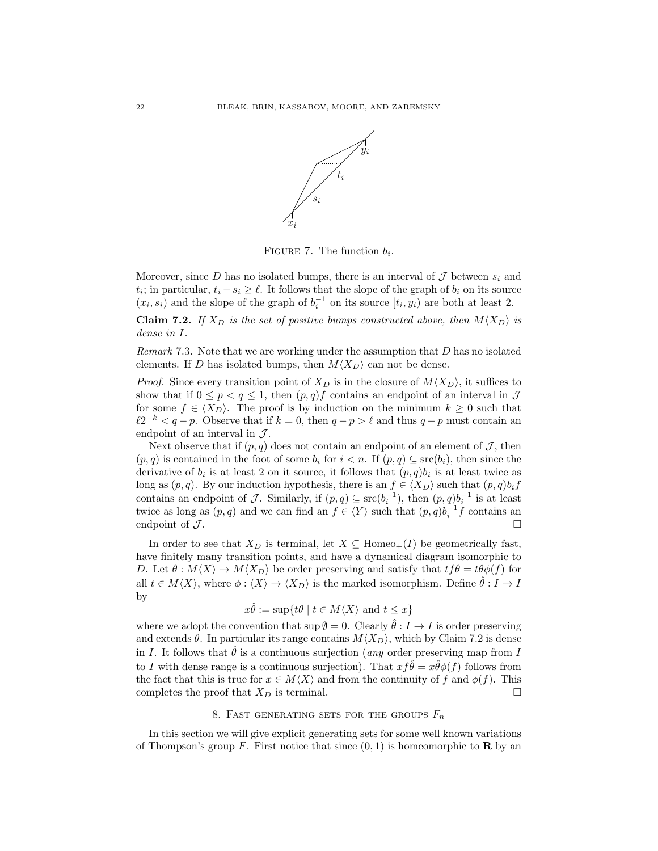

FIGURE 7. The function  $b_i$ .

Moreover, since D has no isolated bumps, there is an interval of  $\mathcal J$  between  $s_i$  and  $t_i$ ; in particular,  $t_i - s_i \geq \ell$ . It follows that the slope of the graph of  $b_i$  on its source  $(x_i, s_i)$  and the slope of the graph of  $b_i^{-1}$  on its source  $[t_i, y_i)$  are both at least 2.

**Claim 7.2.** If  $X_D$  is the set of positive bumps constructed above, then  $M\langle X_D \rangle$  is dense in I.

Remark 7.3. Note that we are working under the assumption that D has no isolated elements. If D has isolated bumps, then  $M\langle X_D \rangle$  can not be dense.

*Proof.* Since every transition point of  $X_D$  is in the closure of  $M\langle X_D \rangle$ , it suffices to show that if  $0 \leq p < q \leq 1$ , then  $(p, q)f$  contains an endpoint of an interval in J for some  $f \in \langle X_D \rangle$ . The proof is by induction on the minimum  $k \geq 0$  such that  $\ell 2^{-k} < q - p$ . Observe that if  $k = 0$ , then  $q - p > \ell$  and thus  $q - p$  must contain an endpoint of an interval in  $\mathcal{J}$ .

Next observe that if  $(p, q)$  does not contain an endpoint of an element of  $\mathcal{J}$ , then  $(p, q)$  is contained in the foot of some  $b_i$  for  $i < n$ . If  $(p, q) \subseteq \text{src}(b_i)$ , then since the derivative of  $b_i$  is at least 2 on it source, it follows that  $(p, q)b_i$  is at least twice as long as  $(p, q)$ . By our induction hypothesis, there is an  $f \in \langle X_D \rangle$  such that  $(p, q) b_i f$ contains an endpoint of J. Similarly, if  $(p,q) \subseteq \text{src}(b_i^{-1})$ , then  $(p,q)b_i^{-1}$  is at least twice as long as  $(p, q)$  and we can find an  $f \in \langle Y \rangle$  such that  $(p, q) b_i^{-1} f$  contains an endpoint of  $\mathcal{J}$ .

In order to see that  $X_D$  is terminal, let  $X \subseteq \text{Homeo}_+(I)$  be geometrically fast, have finitely many transition points, and have a dynamical diagram isomorphic to D. Let  $\theta : M\langle X\rangle \to M\langle X_D\rangle$  be order preserving and satisfy that  $tf\theta = t\theta\phi(f)$  for all  $t \in M\langle X\rangle$ , where  $\phi : \langle X\rangle \to \langle X_D\rangle$  is the marked isomorphism. Define  $\theta : I \to I$ by

$$
x\hat{\theta} := \sup\{t\theta \mid t \in M\langle X \rangle \text{ and } t \leq x\}
$$

where we adopt the convention that  $\sup \emptyset = 0$ . Clearly  $\hat{\theta}: I \to I$  is order preserving and extends  $\theta$ . In particular its range contains  $M\langle X_D \rangle$ , which by Claim 7.2 is dense in I. It follows that  $\hat{\theta}$  is a continuous surjection (*any* order preserving map from I to I with dense range is a continuous surjection). That  $xf \hat{\theta} = x\hat{\theta}\phi(f)$  follows from the fact that this is true for  $x \in M\langle X \rangle$  and from the continuity of f and  $\phi(f)$ . This completes the proof that  $X_D$  is terminal.

## 8. FAST GENERATING SETS FOR THE GROUPS  $\mathcal{F}_n$

In this section we will give explicit generating sets for some well known variations of Thompson's group F. First notice that since  $(0, 1)$  is homeomorphic to **R** by an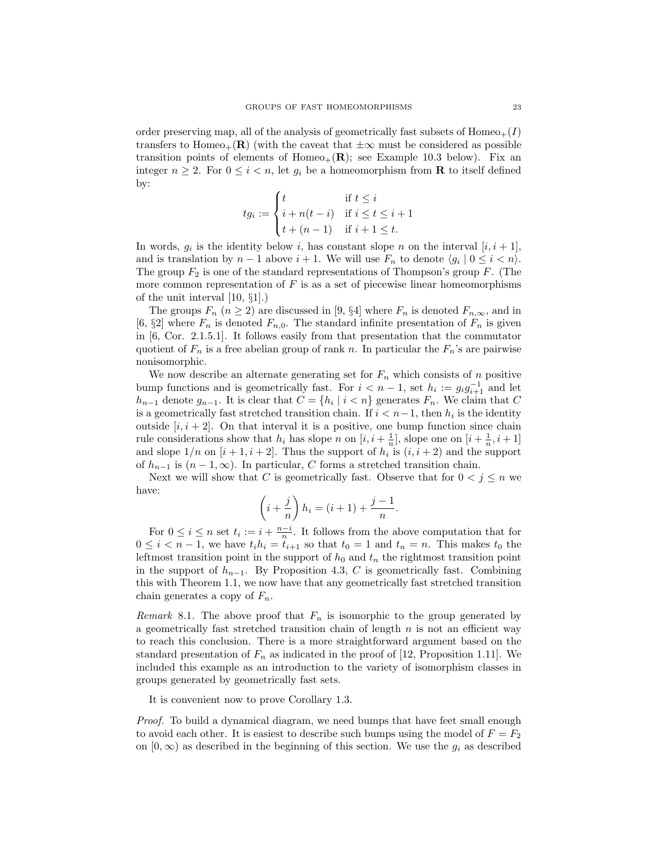order preserving map, all of the analysis of geometrically fast subsets of  $Homeo_+(I)$ transfers to Homeo<sub>+</sub>(R) (with the caveat that  $\pm\infty$  must be considered as possible transition points of elements of Homeo<sub>+</sub> $(R)$ ; see Example 10.3 below). Fix an integer  $n \geq 2$ . For  $0 \leq i < n$ , let  $g_i$  be a homeomorphism from **R** to itself defined by:

$$
tg_i := \begin{cases} t & \text{if } t \leq i \\ i + n(t - i) & \text{if } i \leq t \leq i + 1 \\ t + (n - 1) & \text{if } i + 1 \leq t. \end{cases}
$$

In words,  $g_i$  is the identity below i, has constant slope n on the interval  $[i, i + 1]$ , and is translation by  $n-1$  above  $i+1$ . We will use  $F_n$  to denote  $\langle g_i | 0 \le i < n \rangle$ . The group  $F_2$  is one of the standard representations of Thompson's group F. (The more common representation of  $F$  is as a set of piecewise linear homeomorphisms of the unit interval [10, §1].)

The groups  $F_n$   $(n \geq 2)$  are discussed in [9, §4] where  $F_n$  is denoted  $F_{n,\infty}$ , and in [6,  $\S2$ ] where  $F_n$  is denoted  $F_{n,0}$ . The standard infinite presentation of  $F_n$  is given in [6, Cor. 2.1.5.1]. It follows easily from that presentation that the commutator quotient of  $F_n$  is a free abelian group of rank n. In particular the  $F_n$ 's are pairwise nonisomorphic.

We now describe an alternate generating set for  $F_n$  which consists of n positive bump functions and is geometrically fast. For  $i < n - 1$ , set  $h_i := g_i g_{i+1}^{-1}$  and let  $h_{n-1}$  denote  $g_{n-1}$ . It is clear that  $C = \{h_i \mid i < n\}$  generates  $F_n$ . We claim that C is a geometrically fast stretched transition chain. If  $i < n-1$ , then  $h_i$  is the identity outside  $[i, i + 2]$ . On that interval it is a positive, one bump function since chain rule considerations show that  $h_i$  has slope n on  $[i, i + \frac{1}{n}]$ , slope one on  $[i + \frac{1}{n}, i + 1]$ and slope  $1/n$  on  $[i+1, i+2]$ . Thus the support of  $h_i$  is  $(i, i+2)$  and the support of  $h_{n-1}$  is  $(n-1,\infty)$ . In particular, C forms a stretched transition chain.

Next we will show that C is geometrically fast. Observe that for  $0 < j \leq n$  we have:

$$
\left(i+\frac{j}{n}\right)h_i = (i+1)+\frac{j-1}{n}.
$$

For  $0 \leq i \leq n$  set  $t_i := i + \frac{n-i}{n}$ . It follows from the above computation that for  $0 \leq i < n-1$ , we have  $t_i h_i = t_{i+1}$  so that  $t_0 = 1$  and  $t_n = n$ . This makes  $t_0$  the leftmost transition point in the support of  $h_0$  and  $t_n$  the rightmost transition point in the support of  $h_{n-1}$ . By Proposition 4.3, C is geometrically fast. Combining this with Theorem 1.1, we now have that any geometrically fast stretched transition chain generates a copy of  $F_n$ .

Remark 8.1. The above proof that  $F_n$  is isomorphic to the group generated by a geometrically fast stretched transition chain of length  $n$  is not an efficient way to reach this conclusion. There is a more straightforward argument based on the standard presentation of  $F_n$  as indicated in the proof of [12, Proposition 1.11]. We included this example as an introduction to the variety of isomorphism classes in groups generated by geometrically fast sets.

It is convenient now to prove Corollary 1.3.

Proof. To build a dynamical diagram, we need bumps that have feet small enough to avoid each other. It is easiest to describe such bumps using the model of  $F = F_2$ on  $[0, \infty)$  as described in the beginning of this section. We use the  $g_i$  as described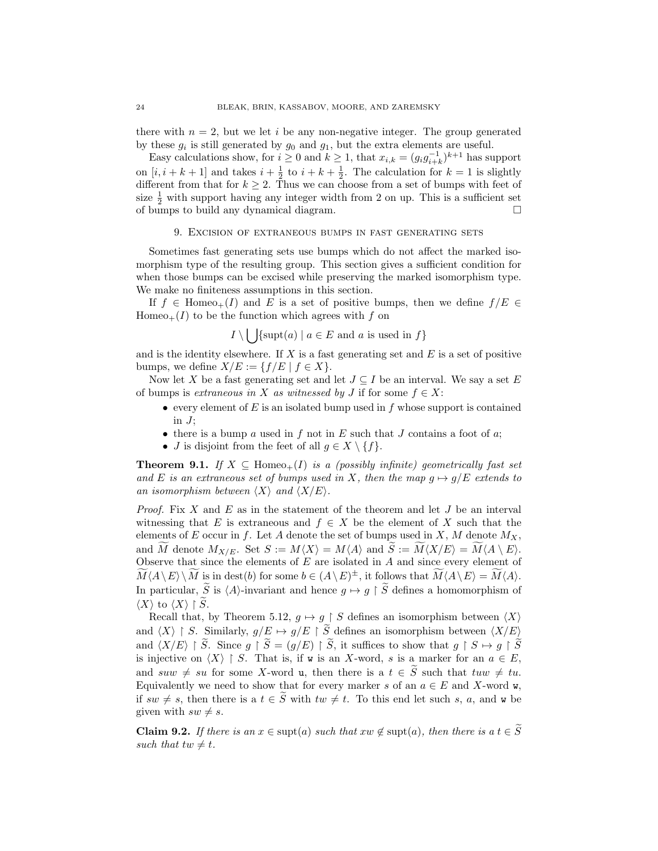there with  $n = 2$ , but we let i be any non-negative integer. The group generated by these  $g_i$  is still generated by  $g_0$  and  $g_1$ , but the extra elements are useful.

Easy calculations show, for  $i \geq 0$  and  $k \geq 1$ , that  $x_{i,k} = (g_i g_{i+k}^{-1})^{k+1}$  has support on  $[i, i + k + 1]$  and takes  $i + \frac{1}{2}$  to  $i + k + \frac{1}{2}$ . The calculation for  $k = 1$  is slightly different from that for  $k \geq 2$ . Thus we can choose from a set of bumps with feet of size  $\frac{1}{2}$  with support having any integer width from 2 on up. This is a sufficient set of bumps to build any dynamical diagram.

#### 9. Excision of extraneous bumps in fast generating sets

Sometimes fast generating sets use bumps which do not affect the marked isomorphism type of the resulting group. This section gives a sufficient condition for when those bumps can be excised while preserving the marked isomorphism type. We make no finiteness assumptions in this section.

If  $f \in \text{Homeo}_+(I)$  and E is a set of positive bumps, then we define  $f/E \in$ Homeo<sub>+</sub> $(I)$  to be the function which agrees with f on

$$
I \setminus \bigcup \{ \text{supt}(a) \mid a \in E \text{ and } a \text{ is used in } f \}
$$

and is the identity elsewhere. If  $X$  is a fast generating set and  $E$  is a set of positive bumps, we define  $X/E := \{f/E \mid f \in X\}.$ 

Now let X be a fast generating set and let  $J \subseteq I$  be an interval. We say a set E of bumps is *extraneous in* X as witnessed by J if for some  $f \in X$ :

- every element of  $E$  is an isolated bump used in  $f$  whose support is contained in  $J$ ;
- there is a bump a used in f not in E such that  $J$  contains a foot of  $a$ ;
- *J* is disjoint from the feet of all  $g \in X \setminus \{f\}.$

**Theorem 9.1.** If  $X \subseteq \text{Homeo}_+(I)$  is a (possibly infinite) geometrically fast set and E is an extraneous set of bumps used in X, then the map  $g \mapsto g/E$  extends to an isomorphism between  $\langle X \rangle$  and  $\langle X/E \rangle$ .

*Proof.* Fix X and E as in the statement of the theorem and let  $J$  be an interval witnessing that E is extraneous and  $f \in X$  be the element of X such that the elements of E occur in f. Let A denote the set of bumps used in X, M denote  $M_X$ , and M denote  $M_{X/E}$ . Set  $S := M\langle X \rangle = M\langle A \rangle$  and  $S := M\langle X/E \rangle = M\langle A \setminus E \rangle$ . Observe that since the elements of  $E$  are isolated in  $A$  and since every element of  $\widetilde{M}(A \setminus E) \setminus \widetilde{M}$  is in dest(b) for some  $b \in (A \setminus E)^{\pm}$ , it follows that  $\widetilde{M}(A \setminus E) = \widetilde{M}(A)$ . In particular,  $\widetilde{S}$  is  $\langle A \rangle$ -invariant and hence  $g \mapsto g \restriction \widetilde{S}$  defines a homomorphism of  $\langle X \rangle$  to  $\langle X \rangle \upharpoonright \widetilde{S}$ .

Recall that, by Theorem 5.12,  $g \mapsto g \restriction S$  defines an isomorphism between  $\langle X \rangle$ and  $\langle X \rangle \restriction S$ . Similarly,  $g/E \mapsto g/E \restriction S$  defines an isomorphism between  $\langle X/E \rangle$ and  $\langle X/E \rangle \upharpoonright \widetilde{S}$ . Since  $g \upharpoonright \widetilde{S} = (g/E) \upharpoonright \widetilde{S}$ , it suffices to show that  $g \upharpoonright S \mapsto g \upharpoonright \widetilde{S}$ is injective on  $\langle X \rangle \restriction S$ . That is, if w is an X-word, s is a marker for an  $a \in E$ , and suw  $\neq$  su for some X-word u, then there is a  $t \in \widetilde{S}$  such that  $tuw \neq tu$ . Equivalently we need to show that for every marker s of an  $a \in E$  and X-word w, if  $sw \neq s$ , then there is a  $t \in \tilde{S}$  with  $tw \neq t$ . To this end let such s, a, and w be given with  $sw \neq s$ .

**Claim 9.2.** If there is an  $x \in \text{supt}(a)$  such that  $xw \notin \text{supt}(a)$ , then there is a  $t \in \widetilde{S}$ such that  $tw \neq t$ .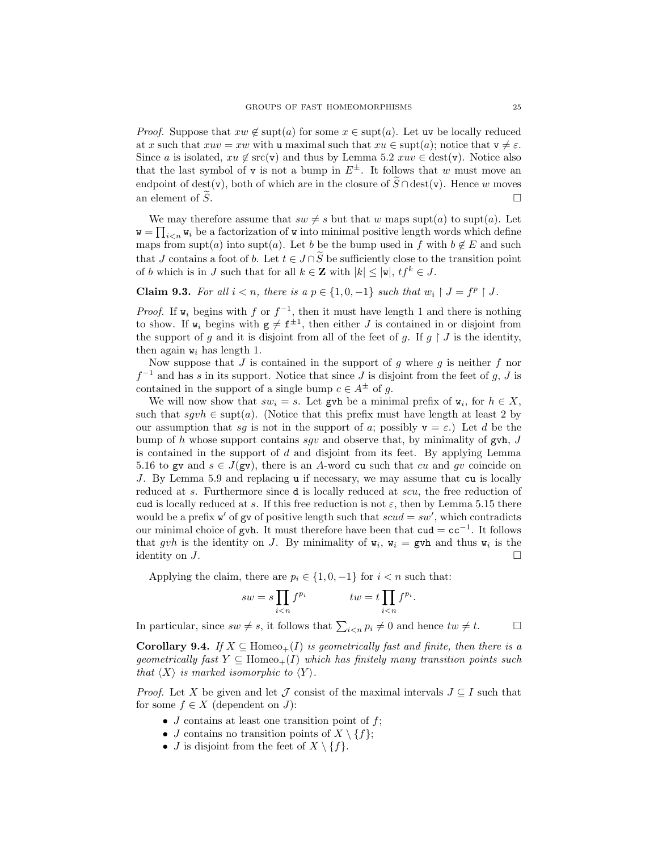*Proof.* Suppose that  $xw \notin \text{supt}(a)$  for some  $x \in \text{supt}(a)$ . Let uv be locally reduced at x such that  $xuv = xw$  with u maximal such that  $xu \in \text{supp}(a)$ ; notice that  $v \neq \varepsilon$ . Since a is isolated,  $xu \notin \text{src}(v)$  and thus by Lemma 5.2  $xuv \in \text{dest}(v)$ . Notice also that the last symbol of v is not a bump in  $E^{\pm}$ . It follows that w must move an endpoint of dest(v), both of which are in the closure of  $\widetilde{S} \cap \text{dest}(v)$ . Hence w moves an element of  $\widetilde{S}$ an element of  $\widetilde{S}$ .

We may therefore assume that  $sw \neq s$  but that w maps supt(a) to supt(a). Let  $\mathbf{w} = \prod_{i \leq n} w_i$  be a factorization of **w** into minimal positive length words which define maps from supt(a) into supt(a). Let b be the bump used in f with  $b \notin E$  and such that J contains a foot of b. Let  $t \in J \cap \widetilde{S}$  be sufficiently close to the transition point of b which is in J such that for all  $k \in \mathbb{Z}$  with  $|k| \leq |w|$ ,  $tf^{k} \in J$ .

**Claim 9.3.** For all  $i < n$ , there is a  $p \in \{1, 0, -1\}$  such that  $w_i \restriction J = f^p \restriction J$ .

*Proof.* If  $w_i$  begins with f or  $f^{-1}$ , then it must have length 1 and there is nothing to show. If  $w_i$  begins with  $g \neq f^{\pm 1}$ , then either J is contained in or disjoint from the support of g and it is disjoint from all of the feet of g. If  $g \restriction J$  is the identity, then again  $v_i$  has length 1.

Now suppose that  $J$  is contained in the support of  $g$  where  $g$  is neither  $f$  nor  $f^{-1}$  and has s in its support. Notice that since J is disjoint from the feet of g, J is contained in the support of a single bump  $c \in A^{\pm}$  of g.

We will now show that  $sw_i = s$ . Let gvh be a minimal prefix of  $w_i$ , for  $h \in X$ , such that  $sgvh \in \text{supt}(a)$ . (Notice that this prefix must have length at least 2 by our assumption that sg is not in the support of a; possibly  $v = \varepsilon$ .) Let d be the bump of h whose support contains sqv and observe that, by minimality of gvh,  $J$ is contained in the support of d and disjoint from its feet. By applying Lemma 5.16 to gv and  $s \in J(gv)$ , there is an A-word cu such that cu and qv coincide on J. By Lemma 5.9 and replacing u if necessary, we may assume that cu is locally reduced at s. Furthermore since d is locally reduced at scu, the free reduction of cud is locally reduced at s. If this free reduction is not  $\varepsilon$ , then by Lemma 5.15 there would be a prefix  $\mathbf{w}'$  of gv of positive length such that  $scud = sw'$ , which contradicts our minimal choice of gvh. It must therefore have been that  $\text{cud} = \text{cc}^{-1}$ . It follows that gvh is the identity on J. By minimality of  $w_i$ ,  $w_i = gwh$  and thus  $w_i$  is the identity on  $J$ .

Applying the claim, there are  $p_i \in \{1, 0, -1\}$  for  $i < n$  such that:

$$
sw = s \prod_{i < n} f^{p_i} \qquad \qquad tw = t \prod_{i < n} f^{p_i}.
$$

In particular, since  $sw \neq s$ , it follows that  $\sum_{i \leq n} p_i \neq 0$  and hence  $tw \neq t$ .

**Corollary 9.4.** If  $X \subseteq \text{Homeo}_+(I)$  is geometrically fast and finite, then there is a geometrically fast  $Y \subseteq \text{Homeo}_+(I)$  which has finitely many transition points such that  $\langle X \rangle$  is marked isomorphic to  $\langle Y \rangle$ .

*Proof.* Let X be given and let J consist of the maximal intervals  $J \subseteq I$  such that for some  $f \in X$  (dependent on J):

- $J$  contains at least one transition point of  $f$ ;
- J contains no transition points of  $X \setminus \{f\};$
- *J* is disjoint from the feet of  $X \setminus \{f\}$ .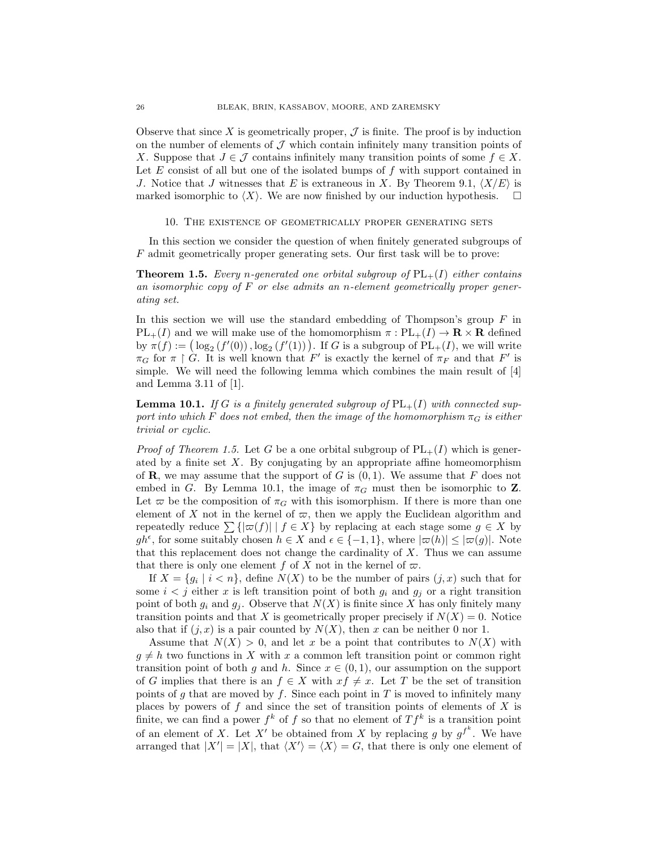Observe that since X is geometrically proper,  $\mathcal J$  is finite. The proof is by induction on the number of elements of  $\mathcal J$  which contain infinitely many transition points of X. Suppose that  $J \in \mathcal{J}$  contains infinitely many transition points of some  $f \in X$ . Let  $E$  consist of all but one of the isolated bumps of  $f$  with support contained in J. Notice that J witnesses that E is extraneous in X. By Theorem 9.1,  $\langle X/E \rangle$  is marked isomorphic to  $\langle X \rangle$ . We are now finished by our induction hypothesis.  $\square$ 

## 10. The existence of geometrically proper generating sets

In this section we consider the question of when finitely generated subgroups of F admit geometrically proper generating sets. Our first task will be to prove:

**Theorem 1.5.** Every n-generated one orbital subgroup of  $PL_{+}(I)$  either contains an isomorphic copy of F or else admits an n-element geometrically proper generating set.

In this section we will use the standard embedding of Thompson's group  $F$  in  $PL_{+}(I)$  and we will make use of the homomorphism  $\pi : PL_{+}(I) \to \mathbf{R} \times \mathbf{R}$  defined by  $\pi(f) := (\log_2(f'(0)), \log_2(f'(1)))$ . If G is a subgroup of  $PL_+(I)$ , we will write  $\pi_G$  for  $\pi \restriction G$ . It is well known that F' is exactly the kernel of  $\pi_F$  and that F' is simple. We will need the following lemma which combines the main result of [4] and Lemma 3.11 of [1].

**Lemma 10.1.** If G is a finitely generated subgroup of  $PL_+(I)$  with connected support into which F does not embed, then the image of the homomorphism  $\pi_G$  is either trivial or cyclic.

*Proof of Theorem 1.5.* Let G be a one orbital subgroup of  $PL_+(I)$  which is generated by a finite set  $X$ . By conjugating by an appropriate affine homeomorphism of **R**, we may assume that the support of G is  $(0, 1)$ . We assume that F does not embed in G. By Lemma 10.1, the image of  $\pi_G$  must then be isomorphic to Z. Let  $\varpi$  be the composition of  $\pi_G$  with this isomorphism. If there is more than one element of X not in the kernel of  $\varpi$ , then we apply the Euclidean algorithm and repeatedly reduce  $\sum \{|\varpi(f)| | f \in X\}$  by replacing at each stage some  $g \in X$  by  $gh^{\epsilon}$ , for some suitably chosen  $h \in X$  and  $\epsilon \in \{-1,1\}$ , where  $|\varpi(h)| \leq |\varpi(g)|$ . Note that this replacement does not change the cardinality of  $X$ . Thus we can assume that there is only one element f of X not in the kernel of  $\varpi$ .

If  $X = \{g_i \mid i < n\}$ , define  $N(X)$  to be the number of pairs  $(j, x)$  such that for some  $i < j$  either x is left transition point of both  $g_i$  and  $g_j$  or a right transition point of both  $g_i$  and  $g_j$ . Observe that  $N(X)$  is finite since X has only finitely many transition points and that X is geometrically proper precisely if  $N(X) = 0$ . Notice also that if  $(j, x)$  is a pair counted by  $N(X)$ , then x can be neither 0 nor 1.

Assume that  $N(X) > 0$ , and let x be a point that contributes to  $N(X)$  with  $g \neq h$  two functions in X with x a common left transition point or common right transition point of both g and h. Since  $x \in (0,1)$ , our assumption on the support of G implies that there is an  $f \in X$  with  $xf \neq x$ . Let T be the set of transition points of g that are moved by f. Since each point in  $T$  is moved to infinitely many places by powers of  $f$  and since the set of transition points of elements of  $X$  is finite, we can find a power  $f^k$  of f so that no element of  $Tf^k$  is a transition point of an element of X. Let X' be obtained from X by replacing g by  $g^{f^k}$ . We have arranged that  $|X'| = |X|$ , that  $\langle X' \rangle = \langle X \rangle = G$ , that there is only one element of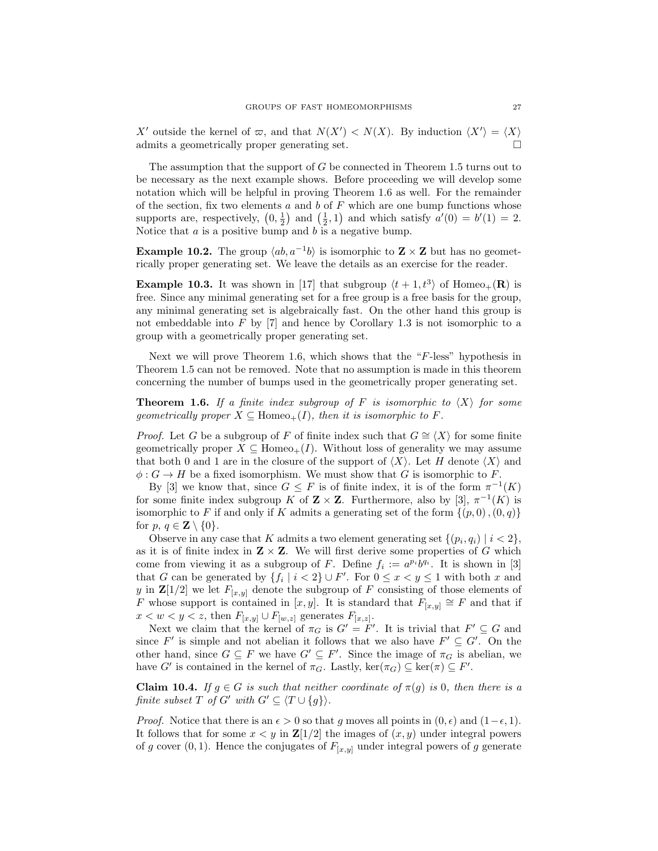X' outside the kernel of  $\varpi$ , and that  $N(X') < N(X)$ . By induction  $\langle X' \rangle = \langle X \rangle$ admits a geometrically proper generating set.

The assumption that the support of  $G$  be connected in Theorem 1.5 turns out to be necessary as the next example shows. Before proceeding we will develop some notation which will be helpful in proving Theorem 1.6 as well. For the remainder of the section, fix two elements  $a$  and  $b$  of  $F$  which are one bump functions whose supports are, respectively,  $(0, \frac{1}{2})$  and  $(\frac{1}{2}, 1)$  and which satisfy  $a'(0) = b'(1) = 2$ . Notice that  $a$  is a positive bump and  $b$  is a negative bump.

**Example 10.2.** The group  $\langle ab, a^{-1}b \rangle$  is isomorphic to **Z** × **Z** but has no geometrically proper generating set. We leave the details as an exercise for the reader.

**Example 10.3.** It was shown in [17] that subgroup  $\langle t + 1, t^3 \rangle$  of Homeo<sub>+</sub>(**R**) is free. Since any minimal generating set for a free group is a free basis for the group, any minimal generating set is algebraically fast. On the other hand this group is not embeddable into  $F$  by  $[7]$  and hence by Corollary 1.3 is not isomorphic to a group with a geometrically proper generating set.

Next we will prove Theorem 1.6, which shows that the "F-less" hypothesis in Theorem 1.5 can not be removed. Note that no assumption is made in this theorem concerning the number of bumps used in the geometrically proper generating set.

**Theorem 1.6.** If a finite index subgroup of F is isomorphic to  $\langle X \rangle$  for some geometrically proper  $X \subseteq \text{Homeo}_+(I)$ , then it is isomorphic to F.

*Proof.* Let G be a subgroup of F of finite index such that  $G \cong \langle X \rangle$  for some finite geometrically proper  $X \subseteq \text{Homeo}_+(I)$ . Without loss of generality we may assume that both 0 and 1 are in the closure of the support of  $\langle X \rangle$ . Let H denote  $\langle X \rangle$  and  $\phi: G \to H$  be a fixed isomorphism. We must show that G is isomorphic to F.

By [3] we know that, since  $G \leq F$  is of finite index, it is of the form  $\pi^{-1}(K)$ for some finite index subgroup K of  $\mathbf{Z} \times \mathbf{Z}$ . Furthermore, also by [3],  $\pi^{-1}(K)$  is isomorphic to F if and only if K admits a generating set of the form  $\{(p, 0), (0, q)\}\$ for p,  $q \in \mathbf{Z} \setminus \{0\}.$ 

Observe in any case that K admits a two element generating set  $\{(p_i, q_i) \mid i < 2\},$ as it is of finite index in  $\mathbf{Z} \times \mathbf{Z}$ . We will first derive some properties of G which come from viewing it as a subgroup of F. Define  $f_i := a^{p_i}b^{q_i}$ . It is shown in [3] that G can be generated by  $\{f_i \mid i < 2\} \cup F'$ . For  $0 \le x < y \le 1$  with both x and y in  $\mathbf{Z}[1/2]$  we let  $F_{[x,y]}$  denote the subgroup of F consisting of those elements of F whose support is contained in [x, y]. It is standard that  $F_{[x,y]} \cong F$  and that if  $x < w < y < z$ , then  $F_{[x,y]} \cup F_{[w,z]}$  generates  $F_{[x,z]}$ .

Next we claim that the kernel of  $\pi_G$  is  $G' = F'$ . It is trivial that  $F' \subseteq G$  and since  $F'$  is simple and not abelian it follows that we also have  $F' \subseteq G'$ . On the other hand, since  $G \subseteq F$  we have  $G' \subseteq F'$ . Since the image of  $\pi_G$  is abelian, we have G' is contained in the kernel of  $\pi_G$ . Lastly,  $\ker(\pi_G) \subseteq \ker(\pi) \subseteq F'$ .

**Claim 10.4.** If  $g \in G$  is such that neither coordinate of  $\pi(g)$  is 0, then there is a finite subset T of G' with  $G' \subseteq \langle T \cup \{q\} \rangle$ .

*Proof.* Notice that there is an  $\epsilon > 0$  so that g moves all points in  $(0, \epsilon)$  and  $(1-\epsilon, 1)$ . It follows that for some  $x < y$  in  $\mathbb{Z}[1/2]$  the images of  $(x, y)$  under integral powers of g cover  $(0, 1)$ . Hence the conjugates of  $F_{[x,y]}$  under integral powers of g generate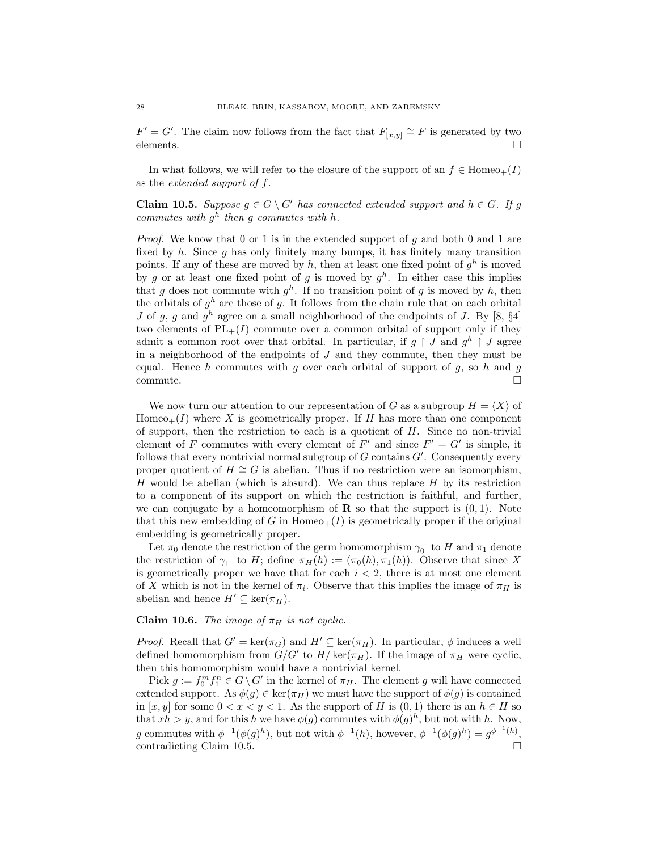$F' = G'$ . The claim now follows from the fact that  $F_{[x,y]} \cong F$  is generated by two elements.  $\Box$ 

In what follows, we will refer to the closure of the support of an  $f \in \text{Homeo}_+(I)$ as the extended support of f.

**Claim 10.5.** Suppose  $g \in G \setminus G'$  has connected extended support and  $h \in G$ . If g commutes with  $g<sup>h</sup>$  then g commutes with h.

*Proof.* We know that 0 or 1 is in the extended support of  $g$  and both 0 and 1 are fixed by h. Since q has only finitely many bumps, it has finitely many transition points. If any of these are moved by h, then at least one fixed point of  $g^h$  is moved by g or at least one fixed point of g is moved by  $g^h$ . In either case this implies that g does not commute with  $g^h$ . If no transition point of g is moved by h, then the orbitals of  $g<sup>h</sup>$  are those of g. It follows from the chain rule that on each orbital J of g, g and  $g^h$  agree on a small neighborhood of the endpoints of J. By [8, §4] two elements of  $PL_+(I)$  commute over a common orbital of support only if they admit a common root over that orbital. In particular, if  $g \restriction J$  and  $g^h \restriction J$  agree in a neighborhood of the endpoints of  $J$  and they commute, then they must be equal. Hence  $h$  commutes with  $g$  over each orbital of support of  $g$ , so  $h$  and  $g$  $\Box$ commute.  $\Box$ 

We now turn our attention to our representation of G as a subgroup  $H = \langle X \rangle$  of Homeo<sub>+</sub> $(I)$  where X is geometrically proper. If H has more than one component of support, then the restriction to each is a quotient of  $H$ . Since no non-trivial element of F commutes with every element of  $F'$  and since  $F' = G'$  is simple, it follows that every nontrivial normal subgroup of  $G$  contains  $G'$ . Consequently every proper quotient of  $H \cong G$  is abelian. Thus if no restriction were an isomorphism, H would be abelian (which is absurd). We can thus replace  $H$  by its restriction to a component of its support on which the restriction is faithful, and further, we can conjugate by a homeomorphism of **R** so that the support is  $(0, 1)$ . Note that this new embedding of G in Homeo<sub>+</sub> $(I)$  is geometrically proper if the original embedding is geometrically proper.

Let  $\pi_0$  denote the restriction of the germ homomorphism  $\gamma_0^+$  to H and  $\pi_1$  denote the restriction of  $\gamma_1^-$  to H; define  $\pi_H(h) := (\pi_0(h), \pi_1(h))$ . Observe that since X is geometrically proper we have that for each  $i < 2$ , there is at most one element of X which is not in the kernel of  $\pi_i$ . Observe that this implies the image of  $\pi_H$  is abelian and hence  $H' \subseteq \text{ker}(\pi_H)$ .

Claim 10.6. The image of  $\pi_H$  is not cyclic.

*Proof.* Recall that  $G' = \ker(\pi_G)$  and  $H' \subseteq \ker(\pi_H)$ . In particular,  $\phi$  induces a well defined homomorphism from  $G/G'$  to  $H/\ker(\pi_H)$ . If the image of  $\pi_H$  were cyclic, then this homomorphism would have a nontrivial kernel.

Pick  $g := f_0^m f_1^n \in G \setminus G'$  in the kernel of  $\pi_H$ . The element g will have connected extended support. As  $\phi(g) \in \ker(\pi_H)$  we must have the support of  $\phi(g)$  is contained in  $[x, y]$  for some  $0 < x < y < 1$ . As the support of H is  $(0, 1)$  there is an  $h \in H$  so that  $xh > y$ , and for this h we have  $\phi(g)$  commutes with  $\phi(g)^h$ , but not with h. Now, g commutes with  $\phi^{-1}(\phi(g)^h)$ , but not with  $\phi^{-1}(h)$ , however,  $\phi^{-1}(\phi(g)^h) = g^{\phi^{-1}(h)}$ , contradicting Claim 10.5.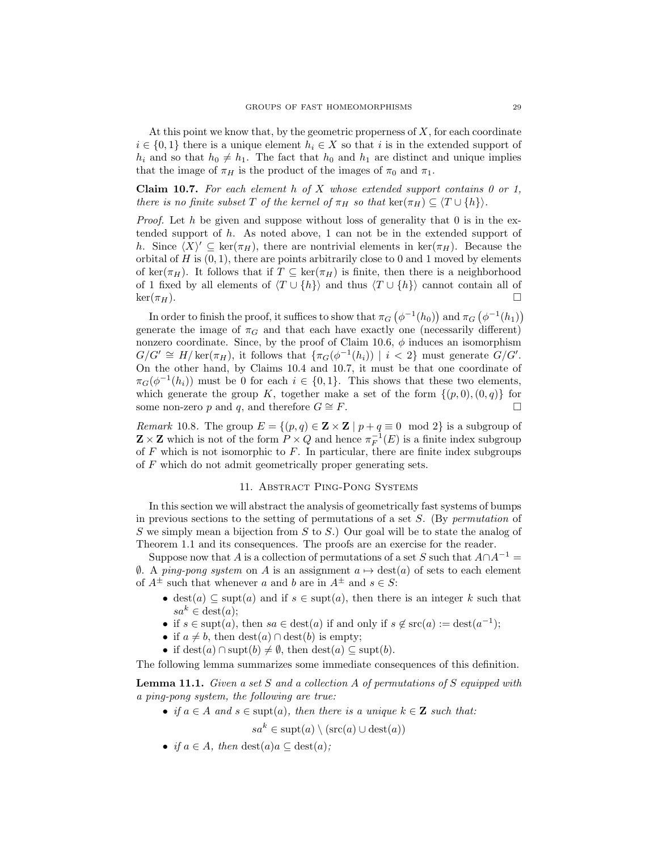At this point we know that, by the geometric properness of  $X$ , for each coordinate  $i \in \{0,1\}$  there is a unique element  $h_i \in X$  so that i is in the extended support of  $h_i$  and so that  $h_0 \neq h_1$ . The fact that  $h_0$  and  $h_1$  are distinct and unique implies that the image of  $\pi_H$  is the product of the images of  $\pi_0$  and  $\pi_1$ .

**Claim 10.7.** For each element h of X whose extended support contains 0 or 1, there is no finite subset T of the kernel of  $\pi_H$  so that ker( $\pi_H$ )  $\subseteq$   $\langle T \cup \{h\} \rangle$ .

*Proof.* Let h be given and suppose without loss of generality that 0 is in the extended support of  $h$ . As noted above, 1 can not be in the extended support of h. Since  $\langle X \rangle' \subseteq \ker(\pi_H)$ , there are nontrivial elements in  $\ker(\pi_H)$ . Because the orbital of  $H$  is  $(0, 1)$ , there are points arbitrarily close to 0 and 1 moved by elements of ker( $\pi_H$ ). It follows that if  $T \subseteq \text{ker}(\pi_H)$  is finite, then there is a neighborhood of 1 fixed by all elements of  $\langle T \cup \{h\}\rangle$  and thus  $\langle T \cup \{h\}\rangle$  cannot contain all of  $\ker(\pi_H)$ .

In order to finish the proof, it suffices to show that  $\pi_G(\phi^{-1}(h_0))$  and  $\pi_G(\phi^{-1}(h_1))$ generate the image of  $\pi_G$  and that each have exactly one (necessarily different) nonzero coordinate. Since, by the proof of Claim 10.6,  $\phi$  induces an isomorphism  $G/G' \cong H/\ker(\pi_H)$ , it follows that  $\{\pi_G(\phi^{-1}(h_i)) \mid i < 2\}$  must generate  $G/G'$ . On the other hand, by Claims 10.4 and 10.7, it must be that one coordinate of  $\pi_G(\phi^{-1}(h_i))$  must be 0 for each  $i \in \{0,1\}$ . This shows that these two elements, which generate the group K, together make a set of the form  $\{(p, 0), (0, q)\}\;$  for some non-zero p and q, and therefore  $G \cong F$ .

*Remark* 10.8. The group  $E = \{(p, q) \in \mathbf{Z} \times \mathbf{Z} \mid p + q \equiv 0 \mod 2\}$  is a subgroup of  $\mathbf{Z} \times \mathbf{Z}$  which is not of the form  $P \times Q$  and hence  $\pi_F^{-1}(E)$  is a finite index subgroup of  $F$  which is not isomorphic to  $F$ . In particular, there are finite index subgroups of F which do not admit geometrically proper generating sets.

## 11. ABSTRACT PING-PONG SYSTEMS

In this section we will abstract the analysis of geometrically fast systems of bumps in previous sections to the setting of permutations of a set  $S$ . (By *permutation* of S we simply mean a bijection from  $S$  to  $S$ .) Our goal will be to state the analog of Theorem 1.1 and its consequences. The proofs are an exercise for the reader.

Suppose now that A is a collection of permutations of a set S such that  $A \cap A^{-1} =$  $θ$ . A ping-pong system on A is an assignment  $a \mapsto$  dest(a) of sets to each element of  $A^{\pm}$  such that whenever a and b are in  $A^{\pm}$  and  $s \in S$ :

- dest(a)  $\subseteq$  supt(a) and if  $s \in \text{supt}(a)$ , then there is an integer k such that  $sa^k \in \text{dest}(a);$
- if  $s \in \text{supt}(a)$ , then  $sa \in \text{dest}(a)$  if and only if  $s \notin \text{src}(a) := \text{dest}(a^{-1})$ ;
- if  $a \neq b$ , then  $\text{dest}(a) \cap \text{dest}(b)$  is empty;
- if dest(a)  $\cap$  supt(b)  $\neq \emptyset$ , then dest(a)  $\subseteq$  supt(b).

The following lemma summarizes some immediate consequences of this definition.

Lemma 11.1. Given a set S and a collection A of permutations of S equipped with a ping-pong system, the following are true:

• if  $a \in A$  and  $s \in \text{supt}(a)$ , then there is a unique  $k \in \mathbb{Z}$  such that:

 $sa^k \in \text{subt}(a) \setminus (\text{src}(a) \cup \text{dest}(a))$ 

• if  $a \in A$ , then  $\text{dest}(a)a \subseteq \text{dest}(a)$ ;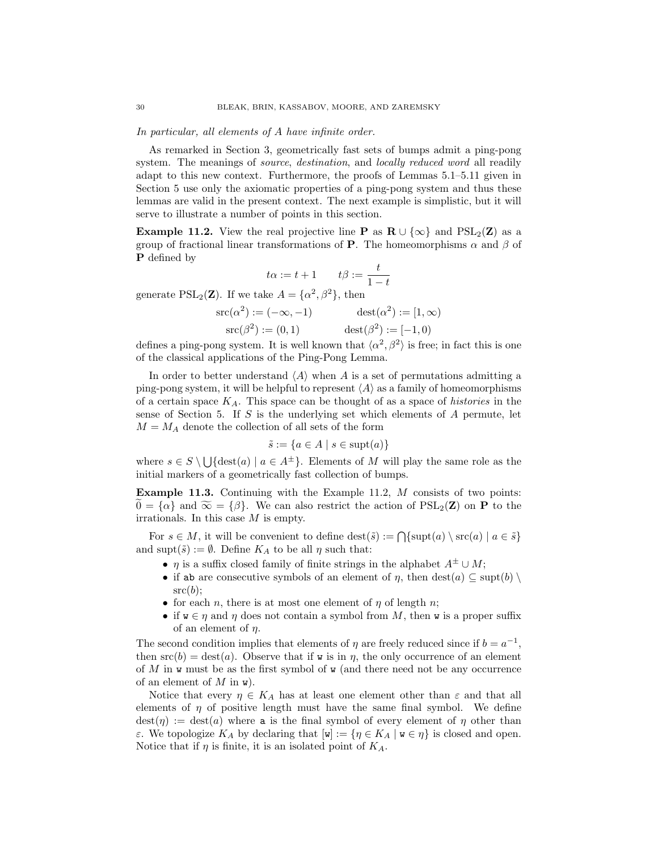In particular, all elements of A have infinite order.

As remarked in Section 3, geometrically fast sets of bumps admit a ping-pong system. The meanings of *source*, *destination*, and *locally reduced word* all readily adapt to this new context. Furthermore, the proofs of Lemmas 5.1–5.11 given in Section 5 use only the axiomatic properties of a ping-pong system and thus these lemmas are valid in the present context. The next example is simplistic, but it will serve to illustrate a number of points in this section.

**Example 11.2.** View the real projective line **P** as  $\mathbf{R} \cup \{\infty\}$  and  $PSL_2(\mathbf{Z})$  as a group of fractional linear transformations of **P**. The homeomorphisms  $\alpha$  and  $\beta$  of P defined by

$$
t\alpha:=t+1\qquad t\beta:=\frac{t}{1-t}
$$

generate  $PSL_2(\mathbf{Z})$ . If we take  $A = {\alpha^2, \beta^2}$ , then

$$
src(\alpha^2) := (-\infty, -1) \qquad dest(\alpha^2) := [1, \infty)
$$
  
\n
$$
src(\beta^2) := (0, 1) \qquad dest(\beta^2) := [-1, 0)
$$

defines a ping-pong system. It is well known that  $\langle \alpha^2, \beta^2 \rangle$  is free; in fact this is one of the classical applications of the Ping-Pong Lemma.

In order to better understand  $\langle A \rangle$  when A is a set of permutations admitting a ping-pong system, it will be helpful to represent  $\langle A \rangle$  as a family of homeomorphisms of a certain space  $K_A$ . This space can be thought of as a space of *histories* in the sense of Section 5. If S is the underlying set which elements of  $A$  permute, let  $M = M_A$  denote the collection of all sets of the form

$$
\tilde{s} := \{ a \in A \mid s \in \text{supt}(a) \}
$$

where  $s \in S \setminus \bigcup {\text{dest}(a) \mid a \in A^{\pm} }$ . Elements of M will play the same role as the initial markers of a geometrically fast collection of bumps.

Example 11.3. Continuing with the Example 11.2, M consists of two points:  $0 = {\alpha}$  and  $\widetilde{\infty} = {\beta}$ . We can also restrict the action of  $PSL_2(\mathbf{Z})$  on **P** to the irrationals. In this case M is empty.

For  $s \in M$ , it will be convenient to define  $\text{dest}(\tilde{s}) := \bigcap \{\text{supt}(a) \setminus \text{src}(a) \mid a \in \tilde{s}\}\$ and supt $(\tilde{s}) := \emptyset$ . Define  $K_A$  to be all  $\eta$  such that:

- $\eta$  is a suffix closed family of finite strings in the alphabet  $A^{\pm} \cup M$ ;
- if ab are consecutive symbols of an element of  $\eta$ , then  $\text{dest}(a) \subseteq \text{subt}(b) \setminus$  $src(b)$ :
- for each *n*, there is at most one element of  $\eta$  of length *n*;
- if  $w \in \eta$  and  $\eta$  does not contain a symbol from M, then w is a proper suffix of an element of  $\eta$ .

The second condition implies that elements of  $\eta$  are freely reduced since if  $b = a^{-1}$ , then  $src(b) = dest(a)$ . Observe that if w is in  $\eta$ , the only occurrence of an element of M in w must be as the first symbol of  $\bf{w}$  (and there need not be any occurrence of an element of  $M$  in  $\mathbf{w}$ ).

Notice that every  $\eta \in K_A$  has at least one element other than  $\varepsilon$  and that all elements of  $\eta$  of positive length must have the same final symbol. We define  $\text{dest}(\eta) := \text{dest}(a)$  where a is the final symbol of every element of  $\eta$  other than ε. We topologize K<sub>A</sub> by declaring that  $[ω] := \{η ∈ K_A \mid χ ∈ η\}$  is closed and open. Notice that if  $\eta$  is finite, it is an isolated point of  $K_A$ .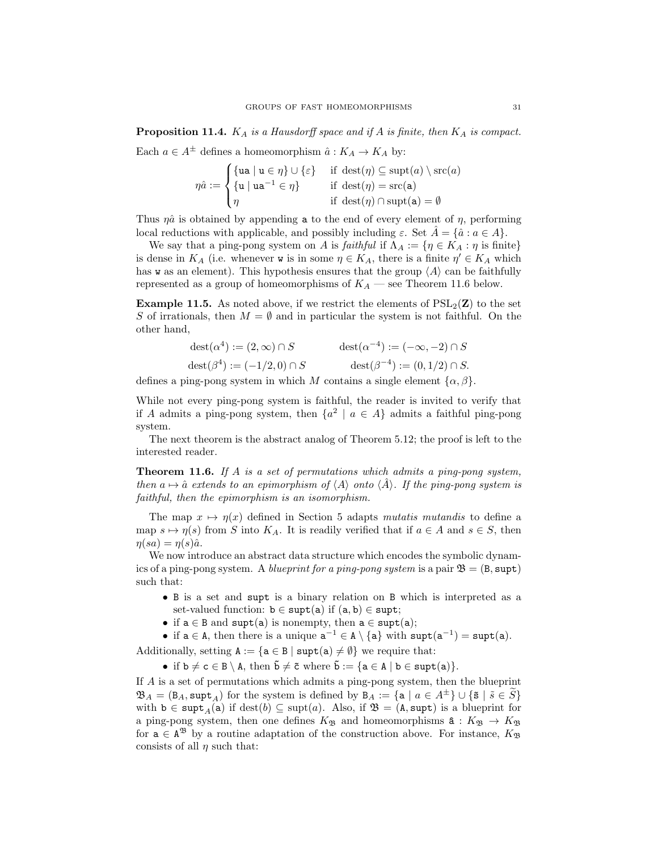**Proposition 11.4.**  $K_A$  is a Hausdorff space and if A is finite, then  $K_A$  is compact.

Each  $a \in A^{\pm}$  defines a homeomorphism  $\hat{a}: K_A \to K_A$  by:

$$
\eta \hat{a} := \begin{cases} \{ \mathbf{u} \mathbf{a} \mid \mathbf{u} \in \eta \} \cup \{ \varepsilon \} & \text{if } \operatorname{dest}(\eta) \subseteq \operatorname{supt}(a) \setminus \operatorname{src}(a) \\ \{ \mathbf{u} \mid \mathbf{u} \mathbf{a}^{-1} \in \eta \} & \text{if } \operatorname{dest}(\eta) = \operatorname{src}(\mathbf{a}) \\ \eta & \text{if } \operatorname{dest}(\eta) \cap \operatorname{supt}(\mathbf{a}) = \emptyset \end{cases}
$$

Thus  $\eta \hat{a}$  is obtained by appending a to the end of every element of  $\eta$ , performing local reductions with applicable, and possibly including  $\varepsilon$ . Set  $\tilde{A} = \{\hat{a} : a \in A\}.$ 

We say that a ping-pong system on A is faithful if  $\Lambda_A := \{ \eta \in K_A : \eta \text{ is finite} \}$ is dense in  $K_A$  (i.e. whenever **w** is in some  $\eta \in K_A$ , there is a finite  $\eta' \in K_A$  which has w as an element). This hypothesis ensures that the group  $\langle A \rangle$  can be faithfully represented as a group of homeomorphisms of  $K_A$  — see Theorem 11.6 below.

**Example 11.5.** As noted above, if we restrict the elements of  $PSL<sub>2</sub>(\mathbf{Z})$  to the set S of irrationals, then  $M = \emptyset$  and in particular the system is not faithful. On the other hand,

| $\text{dest}(\alpha^4) := (2, \infty) \cap S$ | $\text{dest}(\alpha^{-4}) := (-\infty, -2) \cap S$ |
|-----------------------------------------------|----------------------------------------------------|
| $\text{dest}(\beta^4) := (-1/2, 0) \cap S$    | $\text{dest}(\beta^{-4}) := (0, 1/2) \cap S.$      |

defines a ping-pong system in which M contains a single element  $\{\alpha, \beta\}$ .

While not every ping-pong system is faithful, the reader is invited to verify that if A admits a ping-pong system, then  $\{a^2 \mid a \in A\}$  admits a faithful ping-pong system.

The next theorem is the abstract analog of Theorem 5.12; the proof is left to the interested reader.

Theorem 11.6. If A is a set of permutations which admits a ping-pong system, then  $a \mapsto \hat{a}$  extends to an epimorphism of  $\langle A \rangle$  onto  $\langle \hat{A} \rangle$ . If the ping-pong system is faithful, then the epimorphism is an isomorphism.

The map  $x \mapsto \eta(x)$  defined in Section 5 adapts mutatis mutandis to define a map  $s \mapsto \eta(s)$  from S into  $K_A$ . It is readily verified that if  $a \in A$  and  $s \in S$ , then  $\eta(sa) = \eta(s)\hat{a}.$ 

We now introduce an abstract data structure which encodes the symbolic dynamics of a ping-pong system. A blueprint for a ping-pong system is a pair  $\mathfrak{B} = (B, \text{subt})$ such that:

- B is a set and supt is a binary relation on B which is interpreted as a set-valued function:  $b \in \text{subt}(a)$  if  $(a, b) \in \text{subt}$ ;
- if  $a \in B$  and supt(a) is nonempty, then  $a \in \text{supt}(a)$ ;

• if  $a \in A$ , then there is a unique  $a^{-1} \in A \setminus \{a\}$  with  $\text{supt}(a^{-1}) = \text{supt}(a)$ .

Additionally, setting  $A := \{a \in B \mid \text{subt}(a) \neq \emptyset\}$  we require that:

• if  $b \neq c \in B \setminus A$ , then  $\tilde{b} \neq \tilde{c}$  where  $\tilde{b} := \{a \in A \mid b \in \text{supt}(a)\}.$ 

If A is a set of permutations which admits a ping-pong system, then the blueprint  $\mathfrak{B}_A = (\mathsf{B}_A, \mathsf{supt}_A)$  for the system is defined by  $\mathsf{B}_A := \{ \mathsf{a} \mid a \in A^{\pm} \} \cup \{ \tilde{\mathsf{s}} \mid \tilde{s} \in \tilde{S} \}$ with  $b \in \text{supt}_A(a)$  if  $\text{dest}(b) \subseteq \text{supt}(a)$ . Also, if  $\mathfrak{B} = (A, \text{supt})$  is a blueprint for a ping-pong system, then one defines  $K_{\mathfrak{B}}$  and homeomorphisms  $\mathbf{\hat{a}} : K_{\mathfrak{B}} \to K_{\mathfrak{B}}$ for  $a \in A^{38}$  by a routine adaptation of the construction above. For instance,  $K_{38}$ consists of all  $\eta$  such that: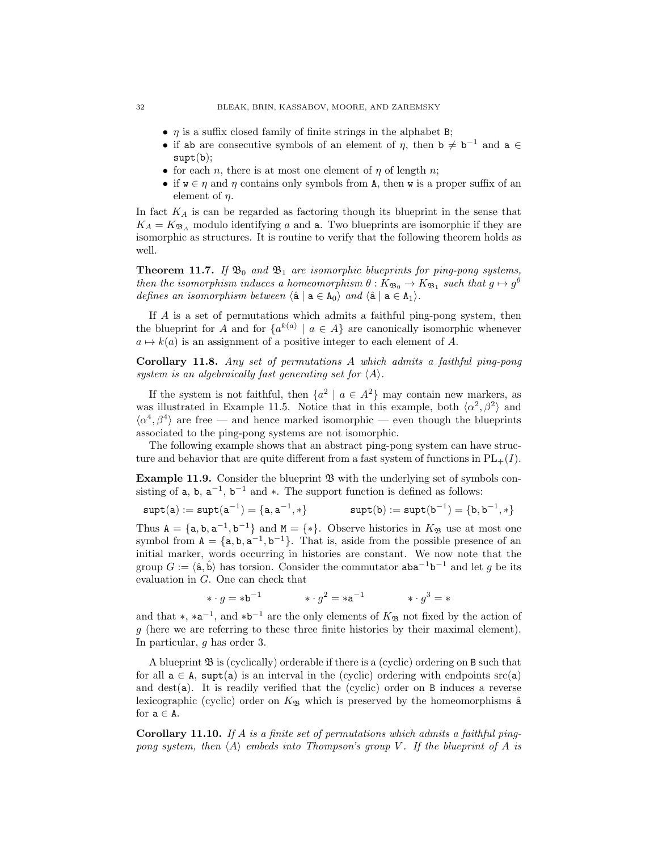- $\eta$  is a suffix closed family of finite strings in the alphabet B;
- if ab are consecutive symbols of an element of  $\eta$ , then  $\mathbf{b} \neq \mathbf{b}^{-1}$  and  $\mathbf{a} \in \mathbb{C}$  $supt(b);$
- for each *n*, there is at most one element of  $\eta$  of length *n*;
- if  $w \in \eta$  and  $\eta$  contains only symbols from A, then w is a proper suffix of an element of  $\eta$ .

In fact  $K_A$  is can be regarded as factoring though its blueprint in the sense that  $K_A = K_{\mathfrak{B}_A}$  modulo identifying a and a. Two blueprints are isomorphic if they are isomorphic as structures. It is routine to verify that the following theorem holds as well.

**Theorem 11.7.** If  $\mathfrak{B}_0$  and  $\mathfrak{B}_1$  are isomorphic blueprints for ping-pong systems, then the isomorphism induces a homeomorphism  $\theta: K_{\mathfrak{B}_0} \to K_{\mathfrak{B}_1}$  such that  $g \mapsto g^{\theta}$ defines an isomorphism between  $\langle \hat{\mathbf{a}} | \mathbf{a} \in \mathbf{A}_0 \rangle$  and  $\langle \hat{\mathbf{a}} | \mathbf{a} \in \mathbf{A}_1 \rangle$ .

If A is a set of permutations which admits a faithful ping-pong system, then the blueprint for A and for  $\{a^{k(a)} \mid a \in A\}$  are canonically isomorphic whenever  $a \mapsto k(a)$  is an assignment of a positive integer to each element of A.

Corollary 11.8. Any set of permutations A which admits a faithful ping-pong system is an algebraically fast generating set for  $\langle A \rangle$ .

If the system is not faithful, then  $\{a^2 \mid a \in A^2\}$  may contain new markers, as was illustrated in Example 11.5. Notice that in this example, both  $\langle \alpha^2, \beta^2 \rangle$  and  $\langle \alpha^4, \beta^4 \rangle$  are free — and hence marked isomorphic — even though the blueprints associated to the ping-pong systems are not isomorphic.

The following example shows that an abstract ping-pong system can have structure and behavior that are quite different from a fast system of functions in  $PL_{+}(I)$ .

**Example 11.9.** Consider the blueprint  $\mathfrak{B}$  with the underlying set of symbols consisting of a, b,  $a^{-1}$ ,  $b^{-1}$  and  $*$ . The support function is defined as follows:

$$
\texttt{supt}(a):=\texttt{supt}(a^{-1})=\{a,a^{-1},*\} \qquad \qquad \texttt{supt}(b):=\texttt{supt}(b^{-1})=\{b,b^{-1},*\}
$$

Thus  $A = \{a, b, a^{-1}, b^{-1}\}\$  and  $M = \{*\}.$  Observe histories in  $K_{\mathfrak{B}}$  use at most one symbol from  $A = \{a, b, a^{-1}, b^{-1}\}\$ . That is, aside from the possible presence of an initial marker, words occurring in histories are constant. We now note that the group  $G := \langle \hat{\mathbf{a}}, \hat{\mathbf{b}} \rangle$  has torsion. Consider the commutator  $\mathbf{a}$ b $^{-1}$ b $^{-1}$  and let g be its evaluation in G. One can check that

$$
\ast \cdot g = \ast \mathsf{b}^{-1} \qquad \qquad \ast \cdot g^2 = \ast \mathsf{a}^{-1} \qquad \qquad \ast \cdot g^3 = \ast
$$

and that  $*, *a^{-1},$  and  $*b^{-1}$  are the only elements of  $K_{\mathfrak{B}}$  not fixed by the action of g (here we are referring to these three finite histories by their maximal element). In particular, g has order 3.

A blueprint  $\mathfrak{B}$  is (cyclically) orderable if there is a (cyclic) ordering on B such that for all  $a \in A$ , supt(a) is an interval in the (cyclic) ordering with endpoints src(a) and dest(a). It is readily verified that the (cyclic) order on  $B$  induces a reverse lexicographic (cyclic) order on  $K_{\mathfrak{B}}$  which is preserved by the homeomorphisms  $\hat{a}$ for  $a \in A$ .

**Corollary 11.10.** If A is a finite set of permutations which admits a faithful pingpong system, then  $\langle A \rangle$  embeds into Thompson's group V. If the blueprint of A is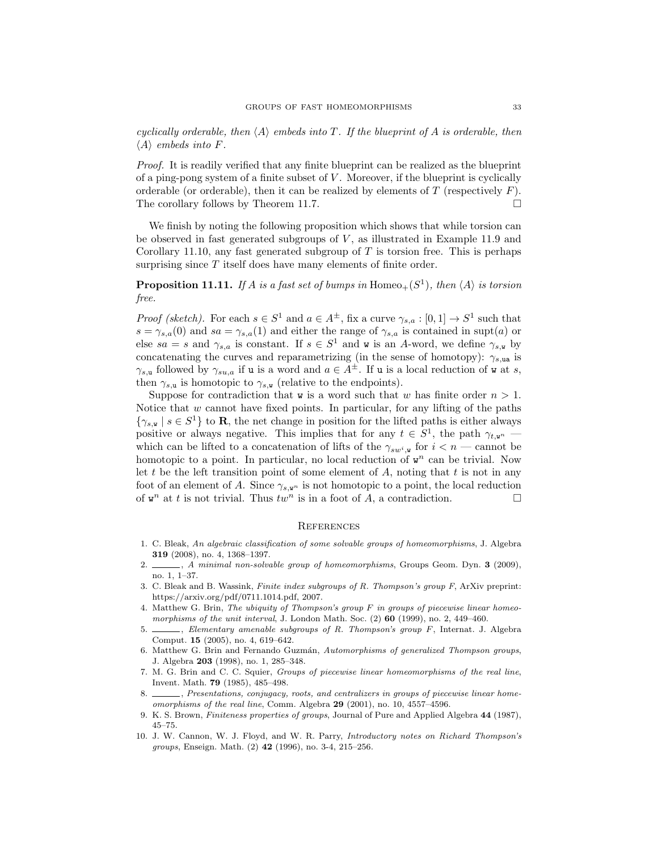cyclically orderable, then  $\langle A \rangle$  embeds into T. If the blueprint of A is orderable, then  $\langle A \rangle$  embeds into F.

Proof. It is readily verified that any finite blueprint can be realized as the blueprint of a ping-pong system of a finite subset of  $V$ . Moreover, if the blueprint is cyclically orderable (or orderable), then it can be realized by elements of  $T$  (respectively  $F$ ). The corollary follows by Theorem 11.7.

We finish by noting the following proposition which shows that while torsion can be observed in fast generated subgroups of  $V$ , as illustrated in Example 11.9 and Corollary 11.10, any fast generated subgroup of  $T$  is torsion free. This is perhaps surprising since  $T$  itself does have many elements of finite order.

**Proposition 11.11.** If A is a fast set of bumps in Homeo<sub>+</sub> $(S<sup>1</sup>)$ , then  $\langle A \rangle$  is torsion free.

*Proof (sketch)*. For each  $s \in S^1$  and  $a \in A^{\pm}$ , fix a curve  $\gamma_{s,a} : [0,1] \to S^1$  such that  $s = \gamma_{s,a}(0)$  and  $sa = \gamma_{s,a}(1)$  and either the range of  $\gamma_{s,a}$  is contained in supt(a) or else  $sa = s$  and  $\gamma_{s,a}$  is constant. If  $s \in S^1$  and w is an A-word, we define  $\gamma_{s,w}$  by concatenating the curves and reparametrizing (in the sense of homotopy):  $\gamma_{s,\text{ua}}$  is  $\gamma_{s,\mathbf{u}}$  followed by  $\gamma_{su,a}$  if **u** is a word and  $a \in A^{\pm}$ . If **u** is a local reduction of **w** at *s*, then  $\gamma_{s,\mathbf{u}}$  is homotopic to  $\gamma_{s,\mathbf{w}}$  (relative to the endpoints).

Suppose for contradiction that **w** is a word such that w has finite order  $n > 1$ . Notice that  $w$  cannot have fixed points. In particular, for any lifting of the paths  $\{\gamma_{s,w} \mid s \in S^1\}$  to **R**, the net change in position for the lifted paths is either always positive or always negative. This implies that for any  $t \in S^1$ , the path  $\gamma_{t,\mathbf{w}^n}$  which can be lifted to a concatenation of lifts of the  $\gamma_{sw^i,w}$  for  $i < n$  — cannot be homotopic to a point. In particular, no local reduction of  $w<sup>n</sup>$  can be trivial. Now let t be the left transition point of some element of  $A$ , noting that  $t$  is not in any foot of an element of A. Since  $\gamma_{s,\mathbf{w}^n}$  is not homotopic to a point, the local reduction of  $\mathbf{w}^n$  at t is not trivial. Thus  $tw^n$  is in a foot of A, a contradiction.

#### **REFERENCES**

- 1. C. Bleak, An algebraic classification of some solvable groups of homeomorphisms, J. Algebra 319 (2008), no. 4, 1368–1397.
- 2. A minimal non-solvable group of homeomorphisms, Groups Geom. Dyn. 3 (2009), no. 1, 1–37.
- 3. C. Bleak and B. Wassink, Finite index subgroups of R. Thompson's group F, ArXiv preprint: https://arxiv.org/pdf/0711.1014.pdf, 2007.
- 4. Matthew G. Brin, The ubiquity of Thompson's group  $F$  in groups of piecewise linear homeomorphisms of the unit interval, J. London Math. Soc.  $(2)$  60 (1999), no. 2, 449–460.
- $\frac{1}{10}$ , Elementary amenable subgroups of R. Thompson's group F, Internat. J. Algebra Comput. 15 (2005), no. 4, 619–642.
- 6. Matthew G. Brin and Fernando Guzmán, Automorphisms of generalized Thompson groups, J. Algebra 203 (1998), no. 1, 285–348.
- 7. M. G. Brin and C. C. Squier, Groups of piecewise linear homeomorphisms of the real line, Invent. Math. 79 (1985), 485–498.
- 8.  $\_\_\_\$ generations, conjugacy, roots, and centralizers in groups of piecewise linear homeomorphisms of the real line, Comm. Algebra 29 (2001), no. 10, 4557–4596.
- 9. K. S. Brown, Finiteness properties of groups, Journal of Pure and Applied Algebra 44 (1987), 45–75.
- 10. J. W. Cannon, W. J. Floyd, and W. R. Parry, Introductory notes on Richard Thompson's groups, Enseign. Math. (2) 42 (1996), no. 3-4, 215–256.